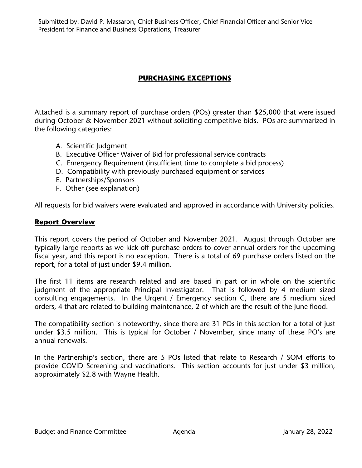Submitted by: David P. Massaron, Chief Business Officer, Chief Financial Officer and Senior Vice President for Finance and Business Operations; Treasurer

# **PURCHASING EXCEPTIONS**

Attached is a summary report of purchase orders (POs) greater than \$25,000 that were issued during October & November 2021 without soliciting competitive bids. POs are summarized in the following categories:

- A. Scientific Judgment
- B. Executive Officer Waiver of Bid for professional service contracts
- C. Emergency Requirement (insufficient time to complete a bid process)
- D. Compatibility with previously purchased equipment or services
- E. Partnerships/Sponsors
- F. Other (see explanation)

All requests for bid waivers were evaluated and approved in accordance with University policies.

#### **Report Overview**

This report covers the period of October and November 2021. August through October are typically large reports as we kick off purchase orders to cover annual orders for the upcoming fiscal year, and this report is no exception. There is a total of 69 purchase orders listed on the report, for a total of just under \$9.4 million.

The first 11 items are research related and are based in part or in whole on the scientific judgment of the appropriate Principal Investigator. That is followed by 4 medium sized consulting engagements. In the Urgent / Emergency section C, there are 5 medium sized orders, 4 that are related to building maintenance, 2 of which are the result of the June flood.

The compatibility section is noteworthy, since there are 31 POs in this section for a total of just under \$3.5 million. This is typical for October / November, since many of these PO's are annual renewals.

In the Partnership's section, there are 5 POs listed that relate to Research / SOM efforts to provide COVID Screening and vaccinations. This section accounts for just under \$3 million, approximately \$2.8 with Wayne Health.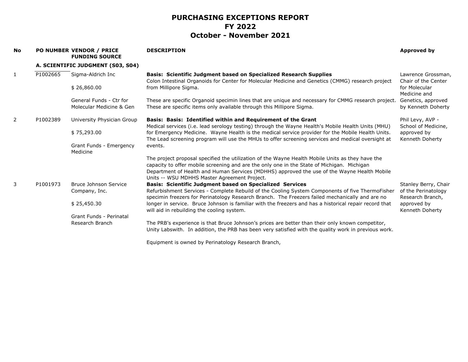| <b>No</b>      |          | <b>PO NUMBER VENDOR / PRICE</b><br><b>FUNDING SOURCE</b> | <b>DESCRIPTION</b>                                                                                                                                                                                       | Approved by                               |
|----------------|----------|----------------------------------------------------------|----------------------------------------------------------------------------------------------------------------------------------------------------------------------------------------------------------|-------------------------------------------|
|                |          | A. SCIENTIFIC JUDGMENT (S03, S04)                        |                                                                                                                                                                                                          |                                           |
| $\mathbf{1}$   | P1002665 | Sigma-Aldrich Inc                                        | <b>Basis: Scientific Judgment based on Specialized Research Supplies</b><br>Colon Intestinal Organoids for Center for Molecular Medicine and Genetics (CMMG) research project                            | Lawrence Grossman,<br>Chair of the Center |
|                |          | \$26,860.00                                              | from Millipore Sigma.                                                                                                                                                                                    | for Molecular<br>Medicine and             |
|                |          | General Funds - Ctr for                                  | These are specific Organoid specimin lines that are unique and necessary for CMMG research project.                                                                                                      | Genetics, approved                        |
|                |          | Molecular Medicine & Gen                                 | These are specific items only available through this Millipore Sigma.                                                                                                                                    | by Kenneth Doherty                        |
| $\overline{2}$ | P1002389 | University Physician Group                               | Basis: Basis: Identified within and Requirement of the Grant<br>Medical services (i.e. lead serology testing) through the Wayne Health's Mobile Health Units (MHU)                                       | Phil Levy, AVP -<br>School of Medicine,   |
|                |          | \$75,293.00                                              | for Emergency Medicine. Wayne Health is the medical service provider for the Mobile Health Units.<br>The Lead screening program will use the MHUs to offer screening services and medical oversight at   | approved by<br>Kenneth Doherty            |
|                |          | Grant Funds - Emergency<br>Medicine                      | events.                                                                                                                                                                                                  |                                           |
|                |          |                                                          | The project proposal specified the utilization of the Wayne Health Mobile Units as they have the<br>capacity to offer mobile screening and are the only one in the State of Michigan. Michigan           |                                           |
|                |          |                                                          | Department of Health and Human Services (MDHHS) approved the use of the Wayne Health Mobile<br>Units -- WSU MDHHS Master Agreement Project.                                                              |                                           |
| 3              | P1001973 | Bruce Johnson Service                                    | <b>Basis: Scientific Judgment based on Specialized Services</b>                                                                                                                                          | Stanley Berry, Chair                      |
|                |          | Company, Inc.                                            | Refurbishment Services - Complete Rebuild of the Cooling System Components of five ThermoFisher<br>specimin freezers for Perinatology Research Branch. The Freezers failed mechanically and are no       | of the Perinatology<br>Research Branch,   |
|                |          | \$25,450.30                                              | longer in service. Bruce Johnson is familiar with the freezers and has a historical repair record that<br>will aid in rebuilding the cooling system.                                                     | approved by<br>Kenneth Doherty            |
|                |          | Grant Funds - Perinatal                                  |                                                                                                                                                                                                          |                                           |
|                |          | Research Branch                                          | The PRB's experience is that Bruce Johnson's prices are better than their only known competitor,<br>Unity Labswith. In addition, the PRB has been very satisfied with the quality work in previous work. |                                           |

Equipment is owned by Perinatology Research Branch,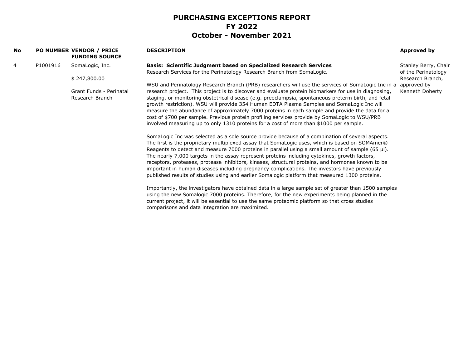| No. |          | PO NUMBER VENDOR / PRICE<br><b>FUNDING SOURCE</b> | <b>DESCRIPTION</b>                                                                                                                                                                                 | Approved by                                 |
|-----|----------|---------------------------------------------------|----------------------------------------------------------------------------------------------------------------------------------------------------------------------------------------------------|---------------------------------------------|
| 4   | P1001916 | SomaLogic, Inc.                                   | <b>Basis: Scientific Judgment based on Specialized Research Services</b><br>Research Services for the Perinatology Research Branch from SomaLogic.                                                 | Stanley Berry, Chair<br>of the Perinatology |
|     |          | \$247,800.00                                      |                                                                                                                                                                                                    | Research Branch,                            |
|     |          |                                                   | WSU and Perinatology Research Branch (PRB) researchers will use the services of SomaLogic Inc in a                                                                                                 | approved by                                 |
|     |          | Grant Funds - Perinatal                           | research project. This project is to discover and evaluate protein biomarkers for use in diagnosing,                                                                                               | Kenneth Doherty                             |
|     |          | Research Branch                                   | staging, or monitoring obstetrical disease (e.g. preeclampsia, spontaneous preterm birth, and fetal                                                                                                |                                             |
|     |          |                                                   | growth restriction). WSU will provide 354 Human EDTA Plasma Samples and SomaLogic Inc will<br>measure the abundance of approximately 7000 proteins in each sample and provide the data for a       |                                             |
|     |          |                                                   | cost of \$700 per sample. Previous protein profiling services provide by SomaLogic to WSU/PRB                                                                                                      |                                             |
|     |          |                                                   | involved measuring up to only 1310 proteins for a cost of more than \$1000 per sample.                                                                                                             |                                             |
|     |          |                                                   | SomaLogic Inc was selected as a sole source provide because of a combination of several aspects.                                                                                                   |                                             |
|     |          |                                                   | The first is the proprietary multiplexed assay that SomaLogic uses, which is based on SOMAmer®                                                                                                     |                                             |
|     |          |                                                   | Reagents to detect and measure 7000 proteins in parallel using a small amount of sample $(65 \text{ µ})$ .                                                                                         |                                             |
|     |          |                                                   | The nearly 7,000 targets in the assay represent proteins including cytokines, growth factors,<br>receptors, proteases, protease inhibitors, kinases, structural proteins, and hormones known to be |                                             |
|     |          |                                                   | important in human diseases including pregnancy complications. The investors have previously                                                                                                       |                                             |
|     |          |                                                   | published results of studies using and earlier Somalogic platform that measured 1300 proteins.                                                                                                     |                                             |
|     |          |                                                   | Importantly, the investigators have obtained data in a large sample set of greater than 1500 samples                                                                                               |                                             |
|     |          |                                                   | using the new Somalogic 7000 proteins. Therefore, for the new experiments being planned in the                                                                                                     |                                             |
|     |          |                                                   | current project, it will be essential to use the same proteomic platform so that cross studies<br>comparisons and data integration are maximized.                                                  |                                             |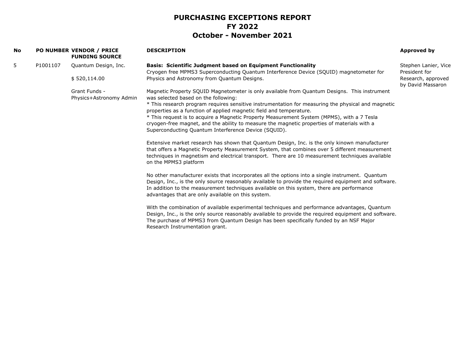| No |          | <b>PO NUMBER VENDOR / PRICE</b><br><b>FUNDING SOURCE</b> | <b>DESCRIPTION</b>                                                                                                                                                                                                                                                                                                                                           | Approved by                             |
|----|----------|----------------------------------------------------------|--------------------------------------------------------------------------------------------------------------------------------------------------------------------------------------------------------------------------------------------------------------------------------------------------------------------------------------------------------------|-----------------------------------------|
| 5  | P1001107 | Quantum Design, Inc.                                     | <b>Basis: Scientific Judgment based on Equipment Functionality</b><br>Cryogen free MPMS3 Superconducting Quantum Interference Device (SQUID) magnetometer for                                                                                                                                                                                                | Stephen Lanier, Vice<br>President for   |
|    |          | \$520,114.00                                             | Physics and Astronomy from Quantum Designs.                                                                                                                                                                                                                                                                                                                  | Research, approved<br>by David Massaron |
|    |          | Grant Funds -<br>Physics+Astronomy Admin                 | Magnetic Property SQUID Magnetometer is only available from Quantum Designs. This instrument<br>was selected based on the following:                                                                                                                                                                                                                         |                                         |
|    |          |                                                          | * This research program reguires sensitive instrumentation for measuring the physical and magnetic<br>properties as a function of applied magnetic field and temperature.                                                                                                                                                                                    |                                         |
|    |          |                                                          | * This request is to acquire a Magnetic Property Measurement System (MPMS), with a 7 Tesla<br>cryogen-free magnet, and the ability to measure the magnetic properties of materials with a<br>Superconducting Quantum Interference Device (SQUID).                                                                                                            |                                         |
|    |          |                                                          | Extensive market research has shown that Quantum Design, Inc. is the only kinown manufacturer<br>that offers a Magnetic Property Measurement System, that combines over 5 different measurement<br>techniques in magnetism and electrical transport. There are 10 measurement techniques available<br>on the MPMS3 platform                                  |                                         |
|    |          |                                                          | No other manufacturer exists that incorporates all the options into a single instrument. Quantum<br>Design, Inc., is the only source reasonably available to provide the required equipment and software.<br>In addition to the measurement techniques available on this system, there are performance<br>advantages that are only available on this system. |                                         |
|    |          |                                                          | With the combination of available experimental techniques and performance advantages, Quantum<br>Design, Inc., is the only source reasonably available to provide the required equipment and software.<br>The purchase of MPMS3 from Quantum Design has been specifically funded by an NSF Major<br>Research Instrumentation grant.                          |                                         |
|    |          |                                                          |                                                                                                                                                                                                                                                                                                                                                              |                                         |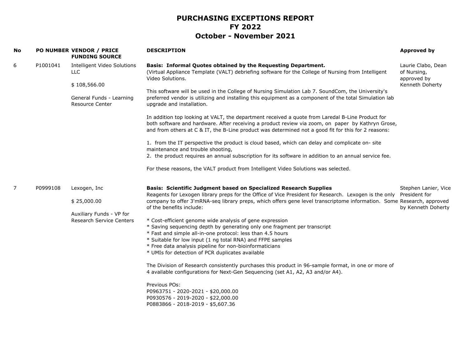| <b>No</b>      |          | PO NUMBER VENDOR / PRICE<br><b>FUNDING SOURCE</b>                                                               | <b>DESCRIPTION</b>                                                                                                                                                                                                                                                                                                                                                                                                                                                                                                                                                                                                                                                                                                                                                                                                                                                                                                                                                                                                                            | <b>Approved by</b>                                                  |
|----------------|----------|-----------------------------------------------------------------------------------------------------------------|-----------------------------------------------------------------------------------------------------------------------------------------------------------------------------------------------------------------------------------------------------------------------------------------------------------------------------------------------------------------------------------------------------------------------------------------------------------------------------------------------------------------------------------------------------------------------------------------------------------------------------------------------------------------------------------------------------------------------------------------------------------------------------------------------------------------------------------------------------------------------------------------------------------------------------------------------------------------------------------------------------------------------------------------------|---------------------------------------------------------------------|
| 6              | P1001041 | Intelligent Video Solutions<br><b>LLC</b><br>\$108,566.00<br>General Funds - Learning<br><b>Resource Center</b> | <b>Basis: Informal Quotes obtained by the Requesting Department.</b><br>(Virtual Appliance Template (VALT) debriefing software for the College of Nursing from Intelligent<br>Video Solutions.<br>This software will be used in the College of Nursing Simulation Lab 7. SoundCom, the University's<br>preferred vendor is utilizing and installing this equipment as a component of the total Simulation lab<br>upgrade and installation.<br>In addition top looking at VALT, the department received a quote from Laredal B-Line Product for<br>both software and hardware. After receiving a product review via zoom, on paper by Kathryn Grose,<br>and from others at C & IT, the B-Line product was determined not a good fit for this for 2 reasons:<br>1. from the IT perspective the product is cloud based, which can delay and complicate on- site<br>maintenance and trouble shooting,<br>2. the product requires an annual subscription for its software in addition to an annual service fee.                                    | Laurie Clabo, Dean<br>of Nursing,<br>approved by<br>Kenneth Doherty |
|                |          |                                                                                                                 | For these reasons, the VALT product from Intelligent Video Solutions was selected.                                                                                                                                                                                                                                                                                                                                                                                                                                                                                                                                                                                                                                                                                                                                                                                                                                                                                                                                                            |                                                                     |
| $\overline{7}$ | P0999108 | Lexogen, Inc<br>\$25,000.00<br>Auxiliary Funds - VP for<br><b>Research Service Centers</b>                      | Basis: Scientific Judgment based on Specialized Research Supplies<br>Reagents for Lexogen library preps for the Office of Vice President for Research. Lexogen is the only<br>company to offer 3'mRNA-seq library preps, which offers gene level transcriptome information. Some Research, approved<br>of the benefits include:<br>* Cost-efficient genome wide analysis of gene expression<br>* Saving sequencing depth by generating only one fragment per transcript<br>* Fast and simple all-in-one protocol: less than 4.5 hours<br>* Suitable for low input (1 ng total RNA) and FFPE samples<br>* Free data analysis pipeline for non-bioinformaticians<br>* UMIs for detection of PCR duplicates available<br>The Division of Research consistently purchases this product in 96-sample format, in one or more of<br>4 available configurations for Next-Gen Sequencing (set A1, A2, A3 and/or A4).<br>Previous POs:<br>P0963751 - 2020-2021 - \$20,000.00<br>P0930576 - 2019-2020 - \$22,000.00<br>P0883866 - 2018-2019 - \$5,607.36 | Stephen Lanier, Vice<br>President for<br>by Kenneth Doherty         |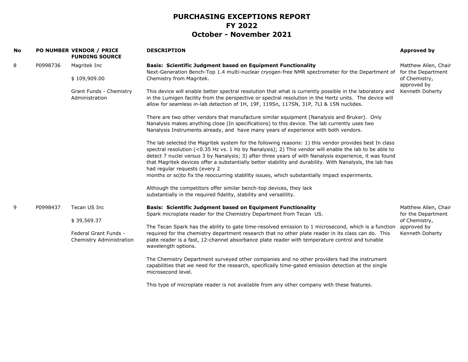| No |          | PO NUMBER VENDOR / PRICE<br><b>FUNDING SOURCE</b> | <b>DESCRIPTION</b>                                                                                                                                                                                                                                                                                                                                                                                                                                                                                                                                                      | <b>Approved by</b>                         |
|----|----------|---------------------------------------------------|-------------------------------------------------------------------------------------------------------------------------------------------------------------------------------------------------------------------------------------------------------------------------------------------------------------------------------------------------------------------------------------------------------------------------------------------------------------------------------------------------------------------------------------------------------------------------|--------------------------------------------|
| 8  | P0998736 | Magritek Inc                                      | <b>Basis: Scientific Judgment based on Equipment Functionality</b><br>Next-Generation Bench-Top 1.4 multi-nuclear cryogen-free NMR spectrometer for the Department of                                                                                                                                                                                                                                                                                                                                                                                                   | Matthew Allen, Chair<br>for the Department |
|    |          | \$109,909.00                                      | Chemistry from Magritek.                                                                                                                                                                                                                                                                                                                                                                                                                                                                                                                                                | of Chemistry,<br>approved by               |
|    |          | Grant Funds - Chemistry<br>Administration         | This device will enable better spectral resolution that what is currently possible in the laboratory and<br>in the Lumigen facility from the perspective or spectral resolution in the Hertz units. The device will<br>allow for seamless in-lab detection of 1H, 19F, 119Sn, 117SN, 31P, 7LI & 15N nuclides.                                                                                                                                                                                                                                                           | Kenneth Doherty                            |
|    |          |                                                   | There are two other vendors that manufacture similar equipment (Nanalysis and Bruker). Only<br>Nanalysis makes anything close (In specifications) to this device. The lab currently uses two<br>Nanalysis Instruments already, and have many years of experience with both vendors.                                                                                                                                                                                                                                                                                     |                                            |
|    |          |                                                   | The lab selected the Magritek system for the following reasons: 1) this vendor provides best In class<br>spectral resolution (<0.35 Hz vs. 1 Hz by Nanalysis); 2) This vendor will enable the lab to be able to<br>detect 7 nuclei versus 3 by Nanalysis; 3) after three years of with Nanalysis experience, it was found<br>that Magritek devices offer a substantially better stability and durability. With Nanalysls, the lab has<br>had regular requests (every 2<br>months or so)to fix the reoccurring stability issues, which substantially impact experiments. |                                            |
|    |          |                                                   | Although the competitors offer similar bench-top devices, they lack<br>substantially in the required fidelity, stability and versatility.                                                                                                                                                                                                                                                                                                                                                                                                                               |                                            |
| 9  | P0998437 | Tecan US Inc                                      | <b>Basis: Scientific Judgment based on Equipment Functionality</b>                                                                                                                                                                                                                                                                                                                                                                                                                                                                                                      | Matthew Allen, Chair                       |
|    |          | \$39,569.37                                       | Spark microplate reader for the Chemistry Department from Tecan US.                                                                                                                                                                                                                                                                                                                                                                                                                                                                                                     | for the Department<br>of Chemistry,        |
|    |          | Federal Grant Funds -<br>Chemistry Administration | The Tecan Spark has the ability to gate time-resolved emission to 1 microsecond, which is a function<br>required for the chemistry department research that no other plate reader in its class can do. This<br>plate reader is a fast, 12-channel absorbance plate reader with temperature control and tunable<br>wavelength options.                                                                                                                                                                                                                                   | approved by<br>Kenneth Doherty             |
|    |          |                                                   | The Chemistry Department surveyed other companies and no other providers had the instrument<br>capabilities that we need for the research, specifically time-gated emission detection at the single<br>microsecond level.                                                                                                                                                                                                                                                                                                                                               |                                            |
|    |          |                                                   | This type of microplate reader is not available from any other company with these features.                                                                                                                                                                                                                                                                                                                                                                                                                                                                             |                                            |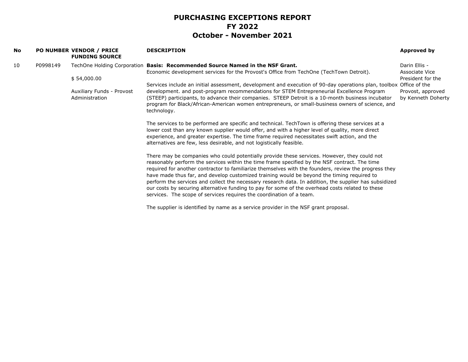| No |          | <b>PO NUMBER VENDOR / PRICE</b><br><b>FUNDING SOURCE</b> | <b>DESCRIPTION</b>                                                                                                                                                                                                                                                                                                                                                                                                                                                                                                                                                                                                                                                                         | Approved by                             |
|----|----------|----------------------------------------------------------|--------------------------------------------------------------------------------------------------------------------------------------------------------------------------------------------------------------------------------------------------------------------------------------------------------------------------------------------------------------------------------------------------------------------------------------------------------------------------------------------------------------------------------------------------------------------------------------------------------------------------------------------------------------------------------------------|-----------------------------------------|
| 10 | P0998149 |                                                          | TechOne Holding Corporation Basis: Recommended Source Named in the NSF Grant.<br>Economic development services for the Provost's Office from TechOne (TechTown Detroit).                                                                                                                                                                                                                                                                                                                                                                                                                                                                                                                   | Darin Ellis -<br>Associate Vice         |
|    |          | \$54,000.00                                              | Services include an initial assessment, development and execution of 90-day operations plan, toolbox Office of the                                                                                                                                                                                                                                                                                                                                                                                                                                                                                                                                                                         | President for the                       |
|    |          | Auxiliary Funds - Provost<br>Administration              | development. and post-program recommendations for STEM Entrepreneurial Excellence Program<br>(STEEP) participants, to advance their companies. STEEP Detroit is a 10-month business incubator<br>program for Black/African-American women entrepreneurs, or small-business owners of science, and<br>technology.                                                                                                                                                                                                                                                                                                                                                                           | Provost, approved<br>by Kenneth Doherty |
|    |          |                                                          | The services to be performed are specific and technical. TechTown is offering these services at a<br>lower cost than any known supplier would offer, and with a higher level of quality, more direct<br>experience, and greater expertise. The time frame required necessitates swift action, and the<br>alternatives are few, less desirable, and not logistically feasible.                                                                                                                                                                                                                                                                                                              |                                         |
|    |          |                                                          | There may be companies who could potentially provide these services. However, they could not<br>reasonably perform the services within the time frame specified by the NSF contract. The time<br>required for another contractor to familiarize themselves with the founders, review the progress they<br>have made thus far, and develop customized training would be beyond the timing required to<br>perform the services and collect the necessary research data. In addition, the supplier has subsidized<br>our costs by securing alternative funding to pay for some of the overhead costs related to these<br>services. The scope of services requires the coordination of a team. |                                         |
|    |          |                                                          | The supplier is identified by name as a service provider in the NSF grant proposal.                                                                                                                                                                                                                                                                                                                                                                                                                                                                                                                                                                                                        |                                         |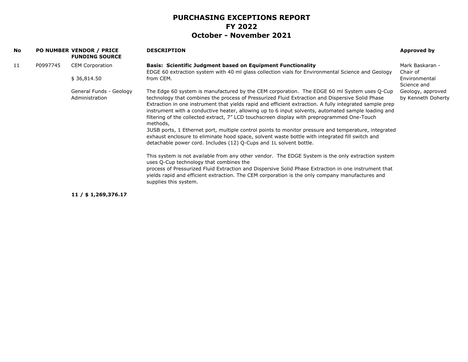| No. |          | PO NUMBER VENDOR / PRICE<br><b>FUNDING SOURCE</b> | <b>DESCRIPTION</b>                                                                                                                                                                                                                                                                                                                                                                                                                                                                                                                                                                                                                                                                                                                                                                                                                                                                                                                                                                                                                                                                                                                                                                              | Approved by                             |
|-----|----------|---------------------------------------------------|-------------------------------------------------------------------------------------------------------------------------------------------------------------------------------------------------------------------------------------------------------------------------------------------------------------------------------------------------------------------------------------------------------------------------------------------------------------------------------------------------------------------------------------------------------------------------------------------------------------------------------------------------------------------------------------------------------------------------------------------------------------------------------------------------------------------------------------------------------------------------------------------------------------------------------------------------------------------------------------------------------------------------------------------------------------------------------------------------------------------------------------------------------------------------------------------------|-----------------------------------------|
| 11  | P0997745 | <b>CEM Corporation</b>                            | <b>Basis: Scientific Judgment based on Equipment Functionality</b><br>EDGE 60 extraction system with 40 ml glass collection vials for Environmental Science and Geology                                                                                                                                                                                                                                                                                                                                                                                                                                                                                                                                                                                                                                                                                                                                                                                                                                                                                                                                                                                                                         | Mark Baskaran -<br>Chair of             |
|     |          | \$36,814.50                                       | from CEM.                                                                                                                                                                                                                                                                                                                                                                                                                                                                                                                                                                                                                                                                                                                                                                                                                                                                                                                                                                                                                                                                                                                                                                                       | Environmental<br>Science and            |
|     |          | General Funds - Geology<br>Administration         | The Edge 60 system is manufactured by the CEM corporation. The EDGE 60 ml System uses Q-Cup<br>technology that combines the process of Pressurized Fluid Extraction and Dispersive Solid Phase<br>Extraction in one instrument that yields rapid and efficient extraction. A fully integrated sample prep<br>instrument with a conductive heater, allowing up to 6 input solvents, automated sample loading and<br>filtering of the collected extract, 7" LCD touchscreen display with preprogrammed One-Touch<br>methods,<br>3USB ports, 1 Ethernet port, multiple control points to monitor pressure and temperature, integrated<br>exhaust enclosure to eliminate hood space, solvent waste bottle with integrated fill switch and<br>detachable power cord. Includes (12) Q-Cups and 1L solvent bottle.<br>This system is not available from any other vendor. The EDGE System is the only extraction system<br>uses Q-Cup technology that combines the<br>process of Pressurized Fluid Extraction and Dispersive Solid Phase Extraction in one instrument that<br>yields rapid and efficient extraction. The CEM corporation is the only company manufactures and<br>supplies this system. | Geology, approved<br>by Kenneth Doherty |
|     |          |                                                   |                                                                                                                                                                                                                                                                                                                                                                                                                                                                                                                                                                                                                                                                                                                                                                                                                                                                                                                                                                                                                                                                                                                                                                                                 |                                         |

**11 / \$ 1,269,376.17**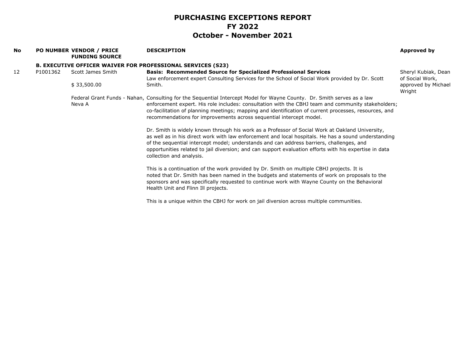| No |          | PO NUMBER VENDOR / PRICE<br><b>FUNDING SOURCE</b> | <b>DESCRIPTION</b>                                                                                                                                                                                                                                                                                                                                                                                                                        | Approved by                            |
|----|----------|---------------------------------------------------|-------------------------------------------------------------------------------------------------------------------------------------------------------------------------------------------------------------------------------------------------------------------------------------------------------------------------------------------------------------------------------------------------------------------------------------------|----------------------------------------|
|    |          |                                                   | <b>B. EXECUTIVE OFFICER WAIVER FOR PROFESSIONAL SERVICES (S23)</b>                                                                                                                                                                                                                                                                                                                                                                        |                                        |
| 12 | P1001362 | Scott James Smith                                 | <b>Basis: Recommended Source for Specialized Professional Services</b><br>Law enforcement expert Consulting Services for the School of Social Work provided by Dr. Scott                                                                                                                                                                                                                                                                  | Sheryl Kubiak, Dean<br>of Social Work, |
|    |          | \$33,500.00                                       | Smith.                                                                                                                                                                                                                                                                                                                                                                                                                                    | approved by Michael<br>Wright          |
|    |          | Neva A                                            | Federal Grant Funds - Nahan, Consulting for the Sequential Intercept Model for Wayne County. Dr. Smith serves as a law<br>enforcement expert. His role includes: consultation with the CBHJ team and community stakeholders;<br>co-facilitation of planning meetings; mapping and identification of current processes, resources, and<br>recommendations for improvements across sequential intercept model.                              |                                        |
|    |          |                                                   | Dr. Smith is widely known through his work as a Professor of Social Work at Oakland University,<br>as well as in his direct work with law enforcement and local hospitals. He has a sound understanding<br>of the sequential intercept model; understands and can address barriers, challenges, and<br>opportunities related to jail diversion; and can support evaluation efforts with his expertise in data<br>collection and analysis. |                                        |
|    |          |                                                   | This is a continuation of the work provided by Dr. Smith on multiple CBHJ projects. It is<br>noted that Dr. Smith has been named in the budgets and statements of work on proposals to the<br>sponsors and was specifically requested to continue work with Wayne County on the Behavioral<br>Health Unit and Flinn Ill projects.                                                                                                         |                                        |
|    |          |                                                   | This is a unique within the CBHJ for work on jail diversion across multiple communities.                                                                                                                                                                                                                                                                                                                                                  |                                        |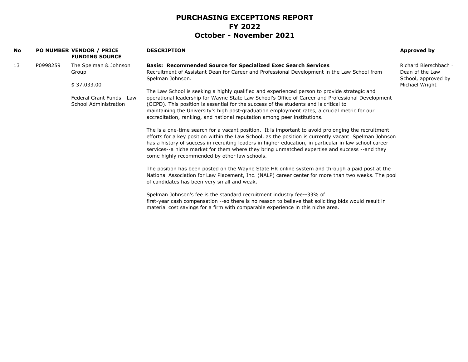| No |          | <b>PO NUMBER VENDOR / PRICE</b><br><b>FUNDING SOURCE</b> | <b>DESCRIPTION</b>                                                                                                                                                                                                                                                                                                                                                                                                                                                         | Approved by                                                 |
|----|----------|----------------------------------------------------------|----------------------------------------------------------------------------------------------------------------------------------------------------------------------------------------------------------------------------------------------------------------------------------------------------------------------------------------------------------------------------------------------------------------------------------------------------------------------------|-------------------------------------------------------------|
| 13 | P0998259 | The Spelman & Johnson<br>Group                           | <b>Basis: Recommended Source for Specialized Exec Search Services</b><br>Recruitment of Assistant Dean for Career and Professional Development in the Law School from<br>Spelman Johnson.                                                                                                                                                                                                                                                                                  | Richard Bierschbar<br>Dean of the Law<br>School, approved I |
|    |          | \$37,033.00                                              |                                                                                                                                                                                                                                                                                                                                                                                                                                                                            | Michael Wright                                              |
|    |          | Federal Grant Funds - Law<br>School Administration       | The Law School is seeking a highly qualified and experienced person to provide strategic and<br>operational leadership for Wayne State Law School's Office of Career and Professional Development<br>(OCPD). This position is essential for the success of the students and is critical to<br>maintaining the University's high post-graduation employment rates, a crucial metric for our<br>accreditation, ranking, and national reputation among peer institutions.     |                                                             |
|    |          |                                                          | The is a one-time search for a vacant position. It is important to avoid prolonging the recruitment<br>efforts for a key position within the Law School, as the position is currently vacant. Spelman Johnson<br>has a history of success in recruiting leaders in higher education, in particular in law school career<br>services--a niche market for them where they bring unmatched expertise and success -- and they<br>come highly recommended by other law schools. |                                                             |
|    |          |                                                          | The position has been posted on the Wayne State HR online system and through a paid post at the<br>National Association for Law Placement, Inc. (NALP) career center for more than two weeks. The pool<br>of candidates has been very small and weak.                                                                                                                                                                                                                      |                                                             |
|    |          |                                                          | Spelman Johnson's fee is the standard recruitment industry fee--33% of<br>first-year cash compensation --so there is no reason to believe that soliciting bids would result in<br>material cost savings for a firm with comparable experience in this niche area.                                                                                                                                                                                                          |                                                             |
|    |          |                                                          |                                                                                                                                                                                                                                                                                                                                                                                                                                                                            |                                                             |

Richard Bierschbach by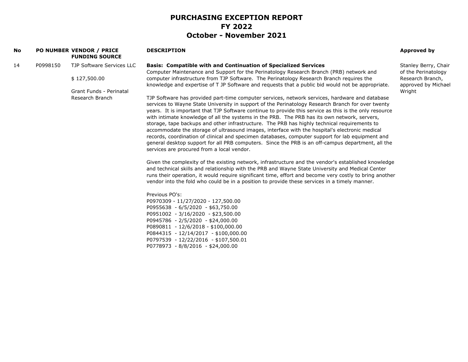| No |          | <b>PO NUMBER VENDOR / PRICE</b><br><b>FUNDING SOURCE</b>                                | <b>DESCRIPTION</b>                                                                                                                                                                                                                                                                                                                                                                                                                                                                                                                                                                                                                                                                                                                                                                                                                                                                                                                                                                                                                                                                                                                                                                                                                                                                                                                                                                                                                                                                                                                                                                                                                                                                                                                                                                                                                                                                                                                                                                                      | Approved by                                                                                      |
|----|----------|-----------------------------------------------------------------------------------------|---------------------------------------------------------------------------------------------------------------------------------------------------------------------------------------------------------------------------------------------------------------------------------------------------------------------------------------------------------------------------------------------------------------------------------------------------------------------------------------------------------------------------------------------------------------------------------------------------------------------------------------------------------------------------------------------------------------------------------------------------------------------------------------------------------------------------------------------------------------------------------------------------------------------------------------------------------------------------------------------------------------------------------------------------------------------------------------------------------------------------------------------------------------------------------------------------------------------------------------------------------------------------------------------------------------------------------------------------------------------------------------------------------------------------------------------------------------------------------------------------------------------------------------------------------------------------------------------------------------------------------------------------------------------------------------------------------------------------------------------------------------------------------------------------------------------------------------------------------------------------------------------------------------------------------------------------------------------------------------------------------|--------------------------------------------------------------------------------------------------|
| 14 | P0998150 | TJP Software Services LLC<br>\$127,500.00<br>Grant Funds - Perinatal<br>Research Branch | <b>Basis: Compatible with and Continuation of Specialized Services</b><br>Computer Maintenance and Support for the Perinatology Research Branch (PRB) network and<br>computer infrastructure from TJP Software. The Perinatology Research Branch requires the<br>knowledge and expertise of T JP Software and requests that a public bid would not be appropriate.<br>TJP Software has provided part-time computer services, network services, hardware and database<br>services to Wayne State University in support of the Perinatology Research Branch for over twenty<br>years. It is important that TJP Software continue to provide this service as this is the only resource<br>with intimate knowledge of all the systems in the PRB. The PRB has its own network, servers,<br>storage, tape backups and other infrastructure. The PRB has highly technical requirements to<br>accommodate the storage of ultrasound images, interface with the hospital's electronic medical<br>records, coordination of clinical and specimen databases, computer support for lab equipment and<br>general desktop support for all PRB computers. Since the PRB is an off-campus department, all the<br>services are procured from a local vendor.<br>Given the complexity of the existing network, infrastructure and the vendor's established knowledge<br>and technical skills and relationship with the PRB and Wayne State University and Medical Center<br>runs their operation, it would require significant time, effort and become very costly to bring another<br>vendor into the fold who could be in a position to provide these services in a timely manner.<br>Previous PO's:<br>P0970309 - 11/27/2020 - 127,500.00<br>P0955638 - 6/5/2020 - \$63,750.00<br>P0951002 - 3/16/2020 - \$23,500.00<br>P0945786 - 2/5/2020 - \$24,000.00<br>P0890811 - 12/6/2018 - \$100,000.00<br>P0844315 - 12/14/2017 - \$100,000.00<br>P0797539 - 12/22/2016 - \$107,500.01<br>P0778973 - 8/8/2016 - \$24,000.00 | Stanley Berry, Chair<br>of the Perinatology<br>Research Branch,<br>approved by Michael<br>Wright |
|    |          |                                                                                         |                                                                                                                                                                                                                                                                                                                                                                                                                                                                                                                                                                                                                                                                                                                                                                                                                                                                                                                                                                                                                                                                                                                                                                                                                                                                                                                                                                                                                                                                                                                                                                                                                                                                                                                                                                                                                                                                                                                                                                                                         |                                                                                                  |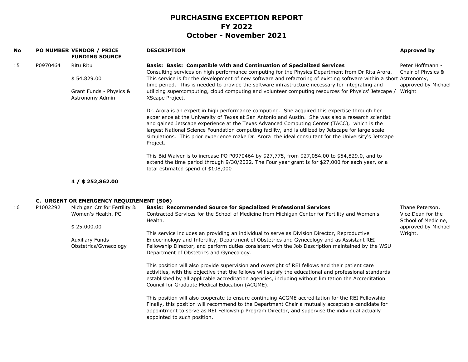| No |                                                               | PO NUMBER VENDOR / PRICE<br><b>FUNDING SOURCE</b>                                                   | <b>DESCRIPTION</b>                                                                                                                                                                                                                                                                                                                                                                                                                                                                                                           | Approved by                            |
|----|---------------------------------------------------------------|-----------------------------------------------------------------------------------------------------|------------------------------------------------------------------------------------------------------------------------------------------------------------------------------------------------------------------------------------------------------------------------------------------------------------------------------------------------------------------------------------------------------------------------------------------------------------------------------------------------------------------------------|----------------------------------------|
| 15 | P0970464                                                      | Ritu Ritu                                                                                           | <b>Basis: Basis: Compatible with and Continuation of Specialized Services</b><br>Consulting services on high performance computing for the Physics Department from Dr Rita Arora.                                                                                                                                                                                                                                                                                                                                            | Peter Hoffmann -<br>Chair of Physics & |
|    |                                                               | \$54,829.00                                                                                         | This service is for the development of new software and refactoring of existing software within a short Astronomy,<br>time period. This is needed to provide the software infrastructure necessary for integrating and                                                                                                                                                                                                                                                                                                       | approved by Michael                    |
|    | Grant Funds - Physics &<br>Astronomy Admin<br>XScape Project. | utilizing supercomputing, cloud computing and volunteer computing resources for Physics' Jetscape / | Wright                                                                                                                                                                                                                                                                                                                                                                                                                                                                                                                       |                                        |
|    |                                                               |                                                                                                     | Dr. Arora is an expert in high performance computing. She acquired this expertise through her<br>experience at the University of Texas at San Antonio and Austin. She was also a research scientist<br>and gained Jetscape experience at the Texas Advanced Computing Center (TACC), which is the<br>largest National Science Foundation computing facility, and is utilized by Jetscape for large scale<br>simulations. This prior experience make Dr. Arora the ideal consultant for the University's Jetscape<br>Project. |                                        |
|    |                                                               |                                                                                                     | This Bid Waiver is to increase PO P0970464 by \$27,775, from \$27,054.00 to \$54,829.0, and to<br>extend the time period through 9/30/2022. The Four year grant is for \$27,000 for each year, or a<br>total estimated spend of \$108,000                                                                                                                                                                                                                                                                                    |                                        |
|    |                                                               | $4/$ \$ 252,862.00                                                                                  |                                                                                                                                                                                                                                                                                                                                                                                                                                                                                                                              |                                        |
|    |                                                               | C. URGENT OR EMERGENCY REQUIREMENT (S06)                                                            |                                                                                                                                                                                                                                                                                                                                                                                                                                                                                                                              |                                        |

| 16 | P1002292 | Michigan Ctr for Fertility & | <b>Basis: Recommended Source for Specialized Professional Services</b>                                   | Thane Peterson,                          |
|----|----------|------------------------------|----------------------------------------------------------------------------------------------------------|------------------------------------------|
|    |          | Women's Health, PC           | Contracted Services for the School of Medicine from Michigan Center for Fertility and Women's<br>Health. | Vice Dean for the<br>School of Medicine, |
|    |          | \$25,000.00                  |                                                                                                          | approved by Michael                      |
|    |          |                              | This service includes an providing an individual to serve as Division Director, Reproductive             | Wright.                                  |
|    |          | Auxiliary Funds -            | Endocrinology and Infertility, Department of Obstetrics and Gynecology and as Assistant REI              |                                          |
|    |          | Obstetrics/Gynecology        | Fellowship Director, and perform duties consistent with the Job Description maintained by the WSU        |                                          |
|    |          |                              | Department of Obstetrics and Gynecology.                                                                 |                                          |
|    |          |                              | This position will also provide supervision and oversight of REI fellows and their patient care          |                                          |
|    |          |                              | activities, with the objective that the fellows will satisfy the educational and professional standards  |                                          |
|    |          |                              | established by all applicable accreditation agencies, including without limitation the Accreditation     |                                          |
|    |          |                              | Council for Graduate Medical Education (ACGME).                                                          |                                          |
|    |          |                              | This position will also cooperate to ensure continuing ACGME accreditation for the REI Fellowship        |                                          |
|    |          |                              | Finally, this position will recommend to the Department Chair a mutually acceptable candidate for        |                                          |
|    |          |                              | appointment to serve as REI Fellowship Program Director, and supervise the individual actually           |                                          |
|    |          |                              | appointed to such position.                                                                              |                                          |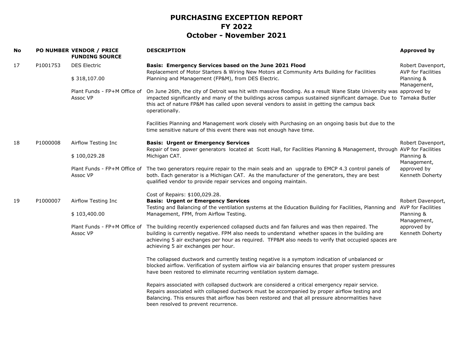| <b>No</b> |          | PO NUMBER VENDOR / PRICE<br><b>FUNDING SOURCE</b> | <b>DESCRIPTION</b>                                                                                                                                                                                                                                                                                                                                        | <b>Approved by</b>                                          |
|-----------|----------|---------------------------------------------------|-----------------------------------------------------------------------------------------------------------------------------------------------------------------------------------------------------------------------------------------------------------------------------------------------------------------------------------------------------------|-------------------------------------------------------------|
| 17        | P1001753 | <b>DES Electric</b>                               | Basis: Emergency Services based on the June 2021 Flood<br>Replacement of Motor Starters & Wiring New Motors at Community Arts Building for Facilities                                                                                                                                                                                                     | Robert Davenport,<br>AVP for Facilities                     |
|           |          | \$318,107.00                                      | Planning and Management (FP&M), from DES Electric.                                                                                                                                                                                                                                                                                                        | Planning &<br>Management,                                   |
|           |          | Plant Funds - FP+M Office of<br>Assoc VP          | On June 26th, the city of Detroit was hit with massive flooding. As a result Wane State University was approved by<br>impacted significantly and many of the buildings across campus sustained significant damage. Due to Tamaka Butler<br>this act of nature FP&M has called upon several vendors to assist in getting the campus back<br>operationally. |                                                             |
|           |          |                                                   | Facilities Planning and Management work closely with Purchasing on an ongoing basis but due to the<br>time sensitive nature of this event there was not enough have time.                                                                                                                                                                                 |                                                             |
| 18        | P1000008 | Airflow Testing Inc                               | <b>Basis: Urgent or Emergency Services</b><br>Repair of two power generators located at Scott Hall, for Facilities Planning & Management, through AVP for Facilities                                                                                                                                                                                      | Robert Davenport,                                           |
|           |          | \$100,029.28                                      | Michigan CAT.                                                                                                                                                                                                                                                                                                                                             | Planning &<br>Management,<br>approved by<br>Kenneth Doherty |
|           |          | Assoc VP                                          | Plant Funds - FP+M Office of The two generators require repair to the main seals and an upgrade to EMCP 4.3 control panels of<br>both. Each generator is a Michigan CAT. As the manufacturer of the generators, they are best<br>qualified vendor to provide repair services and ongoing maintain.                                                        |                                                             |
|           |          |                                                   | Cost of Repairs: \$100,029.28.                                                                                                                                                                                                                                                                                                                            |                                                             |
| 19        | P1000007 | Airflow Testing Inc                               | <b>Basis: Urgent or Emergency Services</b><br>Testing and Balancing of the ventilation systems at the Education Building for Facilities, Planning and                                                                                                                                                                                                     | Robert Davenport,<br><b>AVP for Facilities</b>              |
|           |          | \$103,400.00                                      | Management, FPM, from Airflow Testing.                                                                                                                                                                                                                                                                                                                    | Planning &<br>Management,                                   |
|           |          | Plant Funds - FP+M Office of<br>Assoc VP          | The building recently experienced collapsed ducts and fan failures and was then repaired. The<br>building is currently negative. FPM also needs to understand whether spaces in the building are<br>achieving 5 air exchanges per hour as required. TFP&M also needs to verify that occupied spaces are<br>achieving 5 air exchanges per hour.            | approved by<br>Kenneth Doherty                              |
|           |          |                                                   | The collapsed ductwork and currently testing negative is a symptom indication of unbalanced or<br>blocked airflow. Verification of system airflow via air balancing ensures that proper system pressures<br>have been restored to eliminate recurring ventilation system damage.                                                                          |                                                             |
|           |          |                                                   | Repairs associated with collapsed ductwork are considered a critical emergency repair service.<br>Repairs associated with collapsed ductwork must be accompanied by proper airflow testing and<br>Balancing. This ensures that airflow has been restored and that all pressure abnormalities have<br>been resolved to prevent recurrence.                 |                                                             |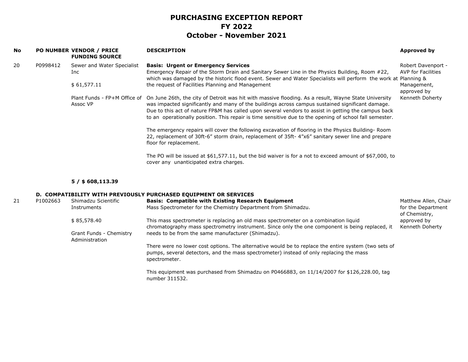| <b>No</b> |          | PO NUMBER VENDOR / PRICE<br><b>FUNDING SOURCE</b>                | <b>DESCRIPTION</b>                                                                                                                                                                                                                                                                                                                                                                                                         | Approved by                              |
|-----------|----------|------------------------------------------------------------------|----------------------------------------------------------------------------------------------------------------------------------------------------------------------------------------------------------------------------------------------------------------------------------------------------------------------------------------------------------------------------------------------------------------------------|------------------------------------------|
| 20        | P0998412 | Sewer and Water Specialist<br>Inc.                               | <b>Basis: Urgent or Emergency Services</b><br>Emergency Repair of the Storm Drain and Sanitary Sewer Line in the Physics Building, Room #22,<br>which was damaged by the historic flood event. Sewer and Water Specialists will perform the work at Planning &                                                                                                                                                             | Robert Davenport -<br>AVP for Facilities |
|           |          | \$61,577.11<br>the request of Facilities Planning and Management |                                                                                                                                                                                                                                                                                                                                                                                                                            | Management,<br>approved by               |
|           |          | Plant Funds - FP+M Office of<br>Assoc VP                         | On June 26th, the city of Detroit was hit with massive flooding. As a result, Wayne State University<br>was impacted significantly and many of the buildings across campus sustained significant damage.<br>Due to this act of nature FP&M has called upon several vendors to assist in getting the campus back<br>to an operationally position. This repair is time sensitive due to the opening of school fall semester. | Kenneth Doherty                          |
|           |          |                                                                  | The emergency repairs will cover the following excavation of flooring in the Physics Building-Room<br>22, replacement of 30ft-6" storm drain, replacement of 35ft-4"x6" sanitary sewer line and prepare<br>floor for replacement.                                                                                                                                                                                          |                                          |
|           |          |                                                                  | The PO will be issued at \$61,577.11, but the bid waiver is for a not to exceed amount of \$67,000, to<br>cover any unanticipated extra charges.                                                                                                                                                                                                                                                                           |                                          |

#### **5 / \$ 608,113.39**

#### **D. COMPATIBILITY WITH PREVIOUSLY PURCHASED EQUIPMENT OR SERVICES**

| 21 | P1002663 | Shimadzu Scientific                       | <b>Basis: Compatible with Existing Research Equipment</b>                                                                                                                                                        | Matthew Allen, Chair                |
|----|----------|-------------------------------------------|------------------------------------------------------------------------------------------------------------------------------------------------------------------------------------------------------------------|-------------------------------------|
|    |          | Instruments                               | Mass Spectrometer for the Chemistry Department from Shimadzu.                                                                                                                                                    | for the Department<br>of Chemistry, |
|    |          | \$85,578.40                               | This mass spectrometer is replacing an old mass spectrometer on a combination liquid<br>chromatography mass spectrometry instrument. Since only the one component is being replaced, it                          | approved by<br>Kenneth Doherty      |
|    |          | Grant Funds - Chemistry<br>Administration | needs to be from the same manufacturer (Shimadzu).                                                                                                                                                               |                                     |
|    |          |                                           | There were no lower cost options. The alternative would be to replace the entire system (two sets of<br>pumps, several detectors, and the mass spectrometer) instead of only replacing the mass<br>spectrometer. |                                     |
|    |          |                                           | This equipment was purchased from Shimadzu on P0466883, on 11/14/2007 for \$126,228.00, tag<br>number 311532.                                                                                                    |                                     |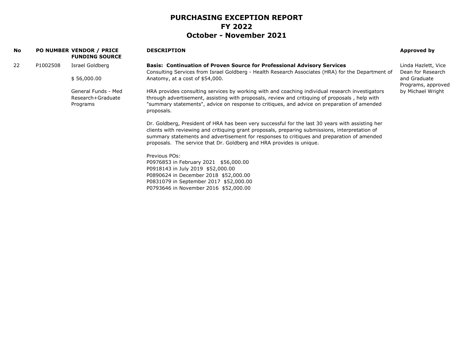| <b>No</b> |          | <b>PO NUMBER VENDOR / PRICE</b><br><b>FUNDING SOURCE</b> | <b>DESCRIPTION</b>                                                                                                                                                                                                                                                                                                                                                        | Approved by                              |
|-----------|----------|----------------------------------------------------------|---------------------------------------------------------------------------------------------------------------------------------------------------------------------------------------------------------------------------------------------------------------------------------------------------------------------------------------------------------------------------|------------------------------------------|
| 22        | P1002508 | Israel Goldberg                                          | <b>Basis: Continuation of Proven Source for Professional Advisory Services</b><br>Consulting Services from Israel Goldberg - Health Research Associates (HRA) for the Department of                                                                                                                                                                                       | Linda Hazlett, Vice<br>Dean for Research |
|           |          | \$56,000.00                                              | Anatomy, at a cost of \$54,000.                                                                                                                                                                                                                                                                                                                                           | and Graduate<br>Programs, approved       |
|           |          | General Funds - Med<br>Research+Graduate<br>Programs     | HRA provides consulting services by working with and coaching individual research investigators<br>through advertisement, assisting with proposals, review and critiquing of proposals, help with<br>"summary statements", advice on response to critiques, and advice on preparation of amended<br>proposals.                                                            | by Michael Wright                        |
|           |          |                                                          | Dr. Goldberg, President of HRA has been very successful for the last 30 years with assisting her<br>clients with reviewing and critiquing grant proposals, preparing submissions, interpretation of<br>summary statements and advertisement for responses to critiques and preparation of amended<br>proposals. The service that Dr. Goldberg and HRA provides is unique. |                                          |
|           |          |                                                          | Previous POs:<br>P0976853 in February 2021 \$56,000.00<br>P0918143 in July 2019 \$52,000.00<br>P0890624 in December 2018 \$52,000.00<br>P0831079 in September 2017 \$52,000.00<br>P0793646 in November 2016 \$52,000.00                                                                                                                                                   |                                          |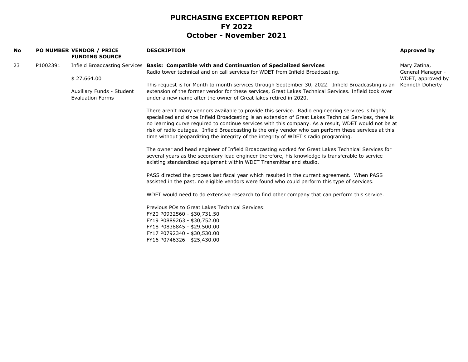| No |          | <b>PO NUMBER VENDOR / PRICE</b><br><b>FUNDING SOURCE</b> | <b>DESCRIPTION</b>                                                                                                                                                                                                                                                                                                                                                                                                                                                                                                   | Approved by                       |
|----|----------|----------------------------------------------------------|----------------------------------------------------------------------------------------------------------------------------------------------------------------------------------------------------------------------------------------------------------------------------------------------------------------------------------------------------------------------------------------------------------------------------------------------------------------------------------------------------------------------|-----------------------------------|
| 23 | P1002391 |                                                          | Infield Broadcasting Services Basis: Compatible with and Continuation of Specialized Services<br>Radio tower technical and on call services for WDET from Infield Broadcasting.                                                                                                                                                                                                                                                                                                                                      | Mary Zatina,<br>General Manager - |
|    |          | \$27,664.00                                              |                                                                                                                                                                                                                                                                                                                                                                                                                                                                                                                      | WDET, approved by                 |
|    |          |                                                          | This request is for Month to month services through September 30, 2022. Infield Broadcasting is an                                                                                                                                                                                                                                                                                                                                                                                                                   | Kenneth Doherty                   |
|    |          | Auxiliary Funds - Student<br><b>Evaluation Forms</b>     | extension of the former vendor for these services, Great Lakes Technical Services. Infield took over<br>under a new name after the owner of Great lakes retired in 2020.                                                                                                                                                                                                                                                                                                                                             |                                   |
|    |          |                                                          | There aren't many vendors available to provide this service. Radio engineering services is highly<br>specialized and since Infield Broadcasting is an extension of Great Lakes Technical Services, there is<br>no learning curve required to continue services with this company. As a result, WDET would not be at<br>risk of radio outages. Infield Broadcasting is the only vendor who can perform these services at this<br>time without jeopardizing the integrity of the integrity of WDET's radio programing. |                                   |
|    |          |                                                          |                                                                                                                                                                                                                                                                                                                                                                                                                                                                                                                      |                                   |
|    |          |                                                          | The owner and head engineer of Infield Broadcasting worked for Great Lakes Technical Services for<br>several years as the secondary lead engineer therefore, his knowledge is transferable to service<br>existing standardized equipment within WDET Transmitter and studio.                                                                                                                                                                                                                                         |                                   |
|    |          |                                                          | PASS directed the process last fiscal year which resulted in the current agreement. When PASS<br>assisted in the past, no eligible vendors were found who could perform this type of services.                                                                                                                                                                                                                                                                                                                       |                                   |
|    |          |                                                          | WDET would need to do extensive research to find other company that can perform this service.                                                                                                                                                                                                                                                                                                                                                                                                                        |                                   |
|    |          |                                                          | Previous POs to Great Lakes Technical Services:                                                                                                                                                                                                                                                                                                                                                                                                                                                                      |                                   |
|    |          |                                                          | FY20 P0932560 - \$30,731.50                                                                                                                                                                                                                                                                                                                                                                                                                                                                                          |                                   |
|    |          |                                                          | FY19 P0889263 - \$30,752.00                                                                                                                                                                                                                                                                                                                                                                                                                                                                                          |                                   |
|    |          |                                                          | FY18 P0838845 - \$29,500.00                                                                                                                                                                                                                                                                                                                                                                                                                                                                                          |                                   |
|    |          |                                                          | FY17 P0792340 - \$30,530.00<br>FY16 P0746326 - \$25,430.00                                                                                                                                                                                                                                                                                                                                                                                                                                                           |                                   |
|    |          |                                                          |                                                                                                                                                                                                                                                                                                                                                                                                                                                                                                                      |                                   |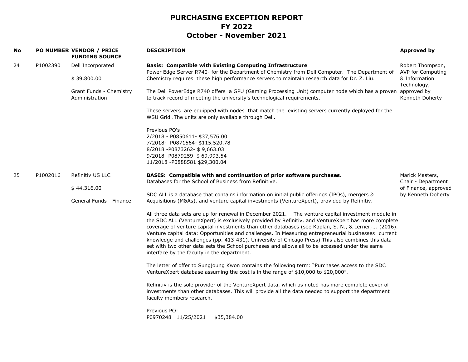| No |          | PO NUMBER VENDOR / PRICE<br><b>FUNDING SOURCE</b> | <b>DESCRIPTION</b>                                                                                                                                                                                                                                                                                                                                                                                                                                                                                                                                                                                                                                                               | Approved by                                       |
|----|----------|---------------------------------------------------|----------------------------------------------------------------------------------------------------------------------------------------------------------------------------------------------------------------------------------------------------------------------------------------------------------------------------------------------------------------------------------------------------------------------------------------------------------------------------------------------------------------------------------------------------------------------------------------------------------------------------------------------------------------------------------|---------------------------------------------------|
| 24 | P1002390 | Dell Incorporated                                 | <b>Basis: Compatible with Existing Computing Infrastructure</b>                                                                                                                                                                                                                                                                                                                                                                                                                                                                                                                                                                                                                  | Robert Thompson,                                  |
|    |          | \$39,800.00                                       | Power Edge Server R740- for the Department of Chemistry from Dell Computer. The Department of<br>Chemistry requires these high performance servers to maintain research data for Dr. Z. Liu.                                                                                                                                                                                                                                                                                                                                                                                                                                                                                     | AVP for Computing<br>& Information<br>Technology, |
|    |          | Grant Funds - Chemistry<br>Administration         | The Dell PowerEdge R740 offers a GPU (Gaming Processing Unit) computer node which has a proven approved by<br>to track record of meeting the university's technological requirements.                                                                                                                                                                                                                                                                                                                                                                                                                                                                                            | Kenneth Doherty                                   |
|    |          |                                                   | These servers are equipped with nodes that match the existing servers currently deployed for the<br>WSU Grid .The units are only available through Dell.                                                                                                                                                                                                                                                                                                                                                                                                                                                                                                                         |                                                   |
|    |          |                                                   | Previous PO's<br>2/2018 - P0850611- \$37,576.00<br>7/2018- P0871564- \$115,520.78<br>8/2018-P0873262-\$9,663.03<br>9/2018-P0879259 \$69,993.54<br>11/2018 - P0888581 \$29,300.04                                                                                                                                                                                                                                                                                                                                                                                                                                                                                                 |                                                   |
| 25 | P1002016 | Refinitiv US LLC                                  | BASIS: Compatible with and continuation of prior software purchases.<br>Databases for the School of Business from Refinitive.                                                                                                                                                                                                                                                                                                                                                                                                                                                                                                                                                    | Marick Masters,<br>Chair - Department             |
|    |          | \$44,316.00                                       |                                                                                                                                                                                                                                                                                                                                                                                                                                                                                                                                                                                                                                                                                  | of Finance, approved                              |
|    |          | General Funds - Finance                           | SDC ALL is a database that contains information on initial public offerings (IPOs), mergers &<br>Acquisitions (M&As), and venture capital investments (VentureXpert), provided by Refinitiv.                                                                                                                                                                                                                                                                                                                                                                                                                                                                                     | by Kenneth Doherty                                |
|    |          |                                                   | All three data sets are up for renewal in December 2021. The venture capital investment module in<br>the SDC ALL (VentureXpert) is exclusively provided by Refinitiv, and VentureXpert has more complete<br>coverage of venture capital investments than other databases (see Kaplan, S. N., & Lerner, J. (2016).<br>Venture capital data: Opportunities and challenges. In Measuring entrepreneurial businesses: current<br>knowledge and challenges (pp. 413-431). University of Chicago Press). This also combines this data<br>set with two other data sets the School purchases and allows all to be accessed under the same<br>interface by the faculty in the department. |                                                   |
|    |          |                                                   | The letter of offer to Sungjoung Kwon contains the following term: "Purchases access to the SDC<br>VentureXpert database assuming the cost is in the range of \$10,000 to \$20,000".                                                                                                                                                                                                                                                                                                                                                                                                                                                                                             |                                                   |
|    |          |                                                   | Refinitiv is the sole provider of the VentureXpert data, which as noted has more complete cover of<br>investments than other databases. This will provide all the data needed to support the department<br>faculty members research.                                                                                                                                                                                                                                                                                                                                                                                                                                             |                                                   |
|    |          |                                                   | Previous PO:<br>P0970248 11/25/2021 \$35,384.00                                                                                                                                                                                                                                                                                                                                                                                                                                                                                                                                                                                                                                  |                                                   |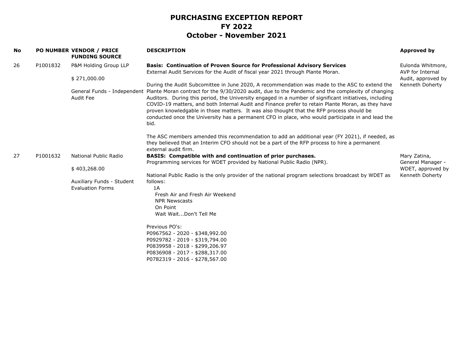| No |          | PO NUMBER VENDOR / PRICE<br><b>FUNDING SOURCE</b> | <b>DESCRIPTION</b>                                                                                                                                                                                                                                                                                                                                                                                                                                                                                                                                                                                                         | Approved by                           |
|----|----------|---------------------------------------------------|----------------------------------------------------------------------------------------------------------------------------------------------------------------------------------------------------------------------------------------------------------------------------------------------------------------------------------------------------------------------------------------------------------------------------------------------------------------------------------------------------------------------------------------------------------------------------------------------------------------------------|---------------------------------------|
| 26 | P1001832 | P&M Holding Group LLP                             | <b>Basis: Continuation of Proven Source for Professional Advisory Services</b><br>External Audit Services for the Audit of fiscal year 2021 through Plante Moran.                                                                                                                                                                                                                                                                                                                                                                                                                                                          | Eulonda Whitmore,<br>AVP for Internal |
|    |          | \$271,000.00                                      |                                                                                                                                                                                                                                                                                                                                                                                                                                                                                                                                                                                                                            | Audit, approved by                    |
|    |          | General Funds - Independent<br>Audit Fee          | During the Audit Subcomittee in June 2020, A recommendation was made to the ASC to extend the<br>Plante Moran contract for the 9/30/2020 audit, due to the Pandemic and the complexity of changing<br>Auditors. During this period, the University engaged in a number of significant initiatives, including<br>COVID-19 matters, and both Internal Audit and Finance prefer to retain Plante Moran, as they have<br>proven knowledgable in thsee matters. It was also thought that the RFP process should be<br>conducted once the University has a permanent CFO in place, who would participate in and lead the<br>bid. | Kenneth Doherty                       |
|    |          |                                                   | The ASC members amended this recommendation to add an additional year (FY 2021), if needed, as<br>they believed that an Interim CFO should not be a part of the RFP process to hire a permanent<br>external audit firm.                                                                                                                                                                                                                                                                                                                                                                                                    |                                       |
| 27 | P1001632 | National Public Radio                             | BASIS: Compatible with and continuation of prior purchases.<br>Programming services for WDET provided by National Public Radio (NPR).                                                                                                                                                                                                                                                                                                                                                                                                                                                                                      | Mary Zatina,<br>General Manager -     |
|    |          | \$403,268.00                                      |                                                                                                                                                                                                                                                                                                                                                                                                                                                                                                                                                                                                                            | WDET, approved by                     |
|    |          |                                                   | National Public Radio is the only provider of the national program selections broadcast by WDET as                                                                                                                                                                                                                                                                                                                                                                                                                                                                                                                         | Kenneth Doherty                       |
|    |          | Auxiliary Funds - Student                         | follows:                                                                                                                                                                                                                                                                                                                                                                                                                                                                                                                                                                                                                   |                                       |
|    |          | <b>Evaluation Forms</b>                           | 1A<br>Fresh Air and Fresh Air Weekend                                                                                                                                                                                                                                                                                                                                                                                                                                                                                                                                                                                      |                                       |
|    |          |                                                   | <b>NPR Newscasts</b>                                                                                                                                                                                                                                                                                                                                                                                                                                                                                                                                                                                                       |                                       |
|    |          |                                                   | On Point                                                                                                                                                                                                                                                                                                                                                                                                                                                                                                                                                                                                                   |                                       |
|    |          |                                                   | Wait WaitDon't Tell Me                                                                                                                                                                                                                                                                                                                                                                                                                                                                                                                                                                                                     |                                       |
|    |          |                                                   | Previous PO's:<br>P0967562 - 2020 - \$348,992.00<br>P0929782 - 2019 - \$319,794.00<br>P0839958 - 2018 - \$299,206.97<br>P0836908 - 2017 - \$288,317.00<br>P0782319 - 2016 - \$278,567.00                                                                                                                                                                                                                                                                                                                                                                                                                                   |                                       |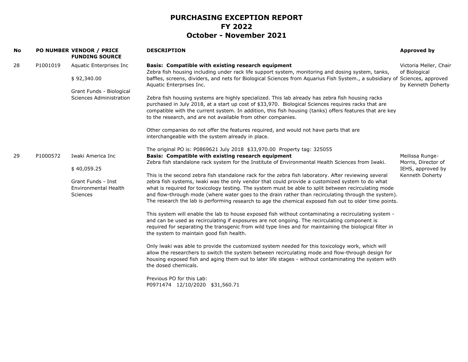| No |          | PO NUMBER VENDOR / PRICE<br><b>FUNDING SOURCE</b>                                                    | <b>DESCRIPTION</b>                                                                                                                                                                                                                                                                                                                                                                                                                                                                                                                                                                                                                                                                                                                                                                                                                                                                                                                                                                                                                                                                                                                                                                                                                                                                                                                                                                                                                                                                                                                              | Approved by                                                                    |
|----|----------|------------------------------------------------------------------------------------------------------|-------------------------------------------------------------------------------------------------------------------------------------------------------------------------------------------------------------------------------------------------------------------------------------------------------------------------------------------------------------------------------------------------------------------------------------------------------------------------------------------------------------------------------------------------------------------------------------------------------------------------------------------------------------------------------------------------------------------------------------------------------------------------------------------------------------------------------------------------------------------------------------------------------------------------------------------------------------------------------------------------------------------------------------------------------------------------------------------------------------------------------------------------------------------------------------------------------------------------------------------------------------------------------------------------------------------------------------------------------------------------------------------------------------------------------------------------------------------------------------------------------------------------------------------------|--------------------------------------------------------------------------------|
| 28 | P1001019 | Aquatic Enterprises Inc<br>\$92,340.00<br>Grant Funds - Biological<br><b>Sciences Administration</b> | Basis: Compatible with existing research equipment<br>Zebra fish housing including under rack life support system, monitoring and dosing system, tanks,<br>baffles, screens, dividers, and nets for Biological Sciences from Aquarius Fish System., a subsidiary of Sciences, approved<br>Aquatic Enterprises Inc.<br>Zebra fish housing systems are highly specialized. This lab already has zebra fish housing racks<br>purchased in July 2018, at a start up cost of \$33,970. Biological Sciences requires racks that are<br>compatible with the current system. In addition, this fish housing (tanks) offers features that are key<br>to the research, and are not available from other companies.<br>Other companies do not offer the features required, and would not have parts that are<br>interchangeable with the system already in place.                                                                                                                                                                                                                                                                                                                                                                                                                                                                                                                                                                                                                                                                                          | Victoria Meller, Chair<br>of Biological<br>by Kenneth Doherty                  |
| 29 | P1000572 | Iwaki America Inc<br>\$40,059.25<br>Grant Funds - Inst<br><b>Environmental Health</b><br>Sciences    | The original PO is: P0869621 July 2018 \$33,970.00 Property tag: 325055<br>Basis: Compatible with existing research equipment<br>Zebra fish standalone rack system for the Institute of Environmental Health Sciences from Iwaki.<br>This is the second zebra fish standalone rack for the zebra fish laboratory. After reviewing several<br>zebra fish systems, Iwaki was the only vendor that could provide a customized system to do what<br>what is required for toxicology testing. The system must be able to split between recirculating mode<br>and flow-through mode (where water goes to the drain rather than recirculating through the system).<br>The research the lab is performing research to age the chemical exposed fish out to older time points.<br>This system will enable the lab to house exposed fish without contaminating a recirculating system -<br>and can be used as recirculating if exposures are not ongoing. The recirculating component is<br>required for separating the transgenic from wild type lines and for maintaining the biological filter in<br>the system to maintain good fish health.<br>Only lwaki was able to provide the customized system needed for this toxicology work, which will<br>allow the researchers to switch the system between recirculating mode and flow-through design for<br>housing exposed fish and aging them out to later life stages - without contaminating the system with<br>the dosed chemicals.<br>Previous PO for this Lab:<br>P0971474 12/10/2020 \$31,560.71 | Meilissa Runge-<br>Morris, Director of<br>IEHS, approved by<br>Kenneth Doherty |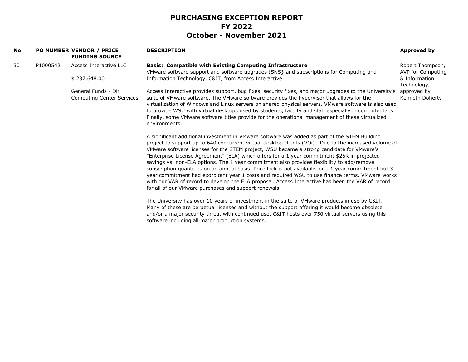| No |          | <b>PO NUMBER VENDOR / PRICE</b><br><b>FUNDING SOURCE</b> | <b>DESCRIPTION</b>                                                                                                                                                                                                                                                                                                                                                                                                                                                                                                                                                                                                                                                                                                                                                                                                                                                          | Approved by                           |
|----|----------|----------------------------------------------------------|-----------------------------------------------------------------------------------------------------------------------------------------------------------------------------------------------------------------------------------------------------------------------------------------------------------------------------------------------------------------------------------------------------------------------------------------------------------------------------------------------------------------------------------------------------------------------------------------------------------------------------------------------------------------------------------------------------------------------------------------------------------------------------------------------------------------------------------------------------------------------------|---------------------------------------|
| 30 | P1000542 | Access Interactive LLC                                   | <b>Basis: Compatible with Existing Computing Infrastructure</b><br>VMware software support and software upgrades (SNS) and subscriptions for Computing and                                                                                                                                                                                                                                                                                                                                                                                                                                                                                                                                                                                                                                                                                                                  | Robert Thompson,<br>AVP for Computing |
|    |          | \$237,648.00                                             | Information Technology, C&IT, from Access Interactive.                                                                                                                                                                                                                                                                                                                                                                                                                                                                                                                                                                                                                                                                                                                                                                                                                      | & Information<br>Technology,          |
|    |          | General Funds - Dir<br><b>Computing Center Services</b>  | Access Interactive provides support, bug fixes, security fixes, and major upgrades to the University's<br>suite of VMware software. The VMware software provides the hypervisor that allows for the<br>virtualization of Windows and Linux servers on shared physical servers. VMware software is also used<br>to provide WSU with virtual desktops used by students, faculty and staff especially in computer labs.<br>Finally, some VMware software titles provide for the operational management of these virtualized<br>environments.                                                                                                                                                                                                                                                                                                                                   | approved by<br>Kenneth Doherty        |
|    |          |                                                          | A significant additional investment in VMware software was added as part of the STEM Building<br>project to support up to 640 concurrent virtual desktop clients (VOi). Due to the increased volume of<br>VMware software licenses for the STEM project, WSU became a strong candidate for VMware's<br>"Enterprise License Agreement" (ELA) which offers for a 1 year commitment \$25K in projected<br>savings vs. non-ELA options. The 1 year commitment also provides flexibility to add/remove<br>subscription quantities on an annual basis. Price lock is not available for a 1 year commitment but 3<br>year commitment had exorbitant year 1 costs and required WSU to use finance terms. VMware works<br>with our VAR of record to develop the ELA proposal. Access Interactive has been the VAR of record<br>for all of our VMware purchases and support renewals. |                                       |
|    |          |                                                          | The University has over 10 years of investment in the suite of VMware products in use by C&IT.<br>Many of these are perpetual licenses and without the support offering it would become obsolete<br>and/or a major security threat with continued use. C&IT hosts over 750 virtual servers using this<br>software including all major production systems.                                                                                                                                                                                                                                                                                                                                                                                                                                                                                                                   |                                       |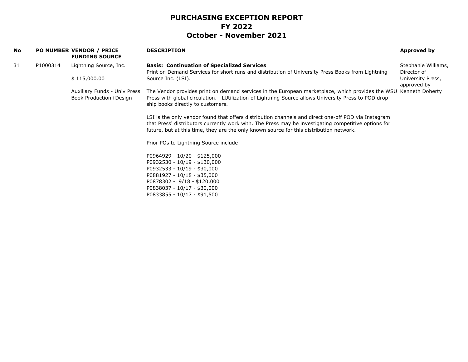| <b>No</b> |          | <b>PO NUMBER VENDOR / PRICE</b><br><b>FUNDING SOURCE</b> | <b>DESCRIPTION</b>                                                                                                                                                                                                                                                                                     | Approved by                        |
|-----------|----------|----------------------------------------------------------|--------------------------------------------------------------------------------------------------------------------------------------------------------------------------------------------------------------------------------------------------------------------------------------------------------|------------------------------------|
| 31        | P1000314 | Lightning Source, Inc.                                   | <b>Basis: Continuation of Specialized Services</b><br>Print on Demand Services for short runs and distribution of University Press Books from Lightning                                                                                                                                                | Stephanie Williams,<br>Director of |
|           |          | \$115,000.00                                             | Source Inc. (LSI).                                                                                                                                                                                                                                                                                     | University Press,<br>approved by   |
|           |          | Auxiliary Funds - Univ Press<br>Book Production+Design   | The Vendor provides print on demand services in the European marketplace, which provides the WSU Kenneth Doherty<br>Press with global circulation. LUtilization of Lightning Source allows University Press to POD drop-<br>ship books directly to customers.                                          |                                    |
|           |          |                                                          | LSI is the only vendor found that offers distribution channels and direct one-off POD via Instagram<br>that Press' distributors currently work with. The Press may be investigating competitive options for<br>future, but at this time, they are the only known source for this distribution network. |                                    |
|           |          |                                                          | Prior POs to Lightning Source include                                                                                                                                                                                                                                                                  |                                    |
|           |          |                                                          | P0964929 - 10/20 - \$125,000<br>P0932530 - 10/19 - \$130,000<br>P0932533 - 10/19 - \$30,000<br>P0881927 - 10/18 - \$35,000<br>P0878302 - 9/18 - \$120,000<br>P0838037 - 10/17 - \$30,000<br>P0833855 - 10/17 - \$91,500                                                                                |                                    |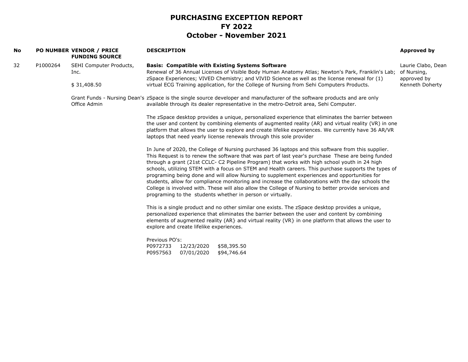| No |          | PO NUMBER VENDOR / PRICE<br><b>FUNDING SOURCE</b> | <b>DESCRIPTION</b>                                                                                                                                                                                                                                                                                                                                                                                                                                                                                                                                                                                                                                                                                                                                                                             | Approved by                                      |
|----|----------|---------------------------------------------------|------------------------------------------------------------------------------------------------------------------------------------------------------------------------------------------------------------------------------------------------------------------------------------------------------------------------------------------------------------------------------------------------------------------------------------------------------------------------------------------------------------------------------------------------------------------------------------------------------------------------------------------------------------------------------------------------------------------------------------------------------------------------------------------------|--------------------------------------------------|
| 32 | P1000264 | SEHI Computer Products,<br>Inc.                   | <b>Basis: Compatible with Existing Systems Software</b><br>Renewal of 36 Annual Licenses of Visible Body Human Anatomy Atlas; Newton's Park, Franklin's Lab;<br>zSpace Experiences; VIVED Chemistry; and VIVID Science as well as the license renewal for (1)                                                                                                                                                                                                                                                                                                                                                                                                                                                                                                                                  | Laurie Clabo, Dean<br>of Nursing,<br>approved by |
|    |          | \$31,408.50                                       | virtual ECG Training application, for the College of Nursing from Sehi Computers Products.                                                                                                                                                                                                                                                                                                                                                                                                                                                                                                                                                                                                                                                                                                     | Kenneth Doherty                                  |
|    |          | Office Admin                                      | Grant Funds - Nursing Dean's zSpace is the single source developer and manufacturer of the software products and are only<br>available through its dealer representative in the metro-Detroit area, Sehi Computer.                                                                                                                                                                                                                                                                                                                                                                                                                                                                                                                                                                             |                                                  |
|    |          |                                                   | The zSpace desktop provides a unique, personalized experience that eliminates the barrier between<br>the user and content by combining elements of augmented reality (AR) and virtual reality (VR) in one<br>platform that allows the user to explore and create lifelike experiences. We currently have 36 AR/VR<br>laptops that need yearly license renewals through this sole provider                                                                                                                                                                                                                                                                                                                                                                                                      |                                                  |
|    |          |                                                   | In June of 2020, the College of Nursing purchased 36 laptops and this software from this supplier.<br>This Request is to renew the software that was part of last year's purchase These are being funded<br>through a grant (21st CCLC- C2 Pipeline Program) that works with high school youth in 24 high<br>schools, utilizing STEM with a focus on STEM and Health careers. This purchase supports the types of<br>programing being done and will allow Nursing to supplement experiences and opportunities for<br>students, allow for compliance monitoring and increase the collaborations with the day schools the<br>College is involved with. These will also allow the College of Nursing to better provide services and<br>programing to the students whether in person or virtually. |                                                  |
|    |          |                                                   | This is a single product and no other similar one exists. The zSpace desktop provides a unique,<br>personalized experience that eliminates the barrier between the user and content by combining<br>elements of augmented reality (AR) and virtual reality (VR) in one platform that allows the user to<br>explore and create lifelike experiences.                                                                                                                                                                                                                                                                                                                                                                                                                                            |                                                  |
|    |          |                                                   | Previous PO's:<br>P0972733<br>12/23/2020<br>\$58,395.50<br>P0957563<br>07/01/2020<br>\$94,746.64                                                                                                                                                                                                                                                                                                                                                                                                                                                                                                                                                                                                                                                                                               |                                                  |
|    |          |                                                   |                                                                                                                                                                                                                                                                                                                                                                                                                                                                                                                                                                                                                                                                                                                                                                                                |                                                  |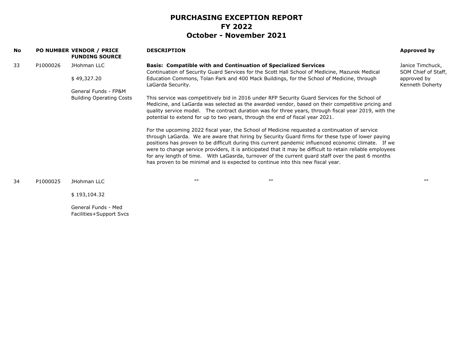|          | <b>FUNDING SOURCE</b>           | <b>DESCRIPTION</b>                                                                                                                                                                                                                                                                                                                                                                                                                                                                                                                                                                                             | Approved by                             |
|----------|---------------------------------|----------------------------------------------------------------------------------------------------------------------------------------------------------------------------------------------------------------------------------------------------------------------------------------------------------------------------------------------------------------------------------------------------------------------------------------------------------------------------------------------------------------------------------------------------------------------------------------------------------------|-----------------------------------------|
| P1000026 | JHohman LLC                     | <b>Basis: Compatible with and Continuation of Specialized Services</b><br>Continuation of Security Guard Services for the Scott Hall School of Medicine, Mazurek Medical                                                                                                                                                                                                                                                                                                                                                                                                                                       | Janice Timchuck,<br>SOM Chief of Staff, |
|          | \$49,327.20                     | Education Commons, Tolan Park and 400 Mack Buildings, for the School of Medicine, through<br>LaGarda Security.                                                                                                                                                                                                                                                                                                                                                                                                                                                                                                 | approved by<br>Kenneth Doherty          |
|          | General Funds - FP&M            |                                                                                                                                                                                                                                                                                                                                                                                                                                                                                                                                                                                                                |                                         |
|          | <b>Building Operating Costs</b> | This service was competitively bid in 2016 under RFP Security Guard Services for the School of<br>Medicine, and LaGarda was selected as the awarded vendor, based on their competitive pricing and<br>quality service model. The contract duration was for three years, through fiscal year 2019, with the<br>potential to extend for up to two years, through the end of fiscal year 2021.                                                                                                                                                                                                                    |                                         |
|          |                                 | For the upcoming 2022 fiscal year, the School of Medicine requested a continuation of service<br>through LaGarda. We are aware that hiring by Security Guard firms for these type of lower paying<br>positions has proven to be difficult during this current pandemic influenced economic climate. If we<br>were to change service providers, it is anticipated that it may be difficult to retain reliable employees<br>for any length of time. With LaGasrda, turnover of the current quard staff over the past 6 months<br>has proven to be minimal and is expected to continue into this new fiscal year. |                                         |
| P1000025 | JHohman LLC                     | 1111<br>$\mathbf{H}$                                                                                                                                                                                                                                                                                                                                                                                                                                                                                                                                                                                           | <b>HH</b>                               |
|          | \$193,104.32                    |                                                                                                                                                                                                                                                                                                                                                                                                                                                                                                                                                                                                                |                                         |
|          |                                 | <b>PO NUMBER VENDOR / PRICE</b>                                                                                                                                                                                                                                                                                                                                                                                                                                                                                                                                                                                |                                         |

General Funds - Med Facilities+Support Svcs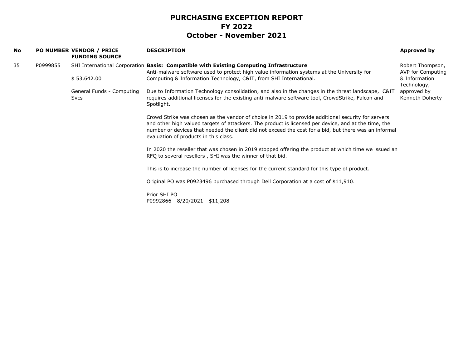| No |          | <b>PO NUMBER VENDOR / PRICE</b><br><b>FUNDING SOURCE</b> | <b>DESCRIPTION</b>                                                                                                                                                                                                                                                                                                                                           | Approved by                           |
|----|----------|----------------------------------------------------------|--------------------------------------------------------------------------------------------------------------------------------------------------------------------------------------------------------------------------------------------------------------------------------------------------------------------------------------------------------------|---------------------------------------|
| 35 | P0999855 |                                                          | SHI International Corporation Basis: Compatible with Existing Computing Infrastructure<br>Anti-malware software used to protect high value information systems at the University for                                                                                                                                                                         | Robert Thompson,<br>AVP for Computing |
|    |          | \$53,642.00                                              | Computing & Information Technology, C&IT, from SHI International.                                                                                                                                                                                                                                                                                            | & Information<br>Technology,          |
|    |          | General Funds - Computing<br><b>Svcs</b>                 | Due to Information Technology consolidation, and also in the changes in the threat landscape, C&IT<br>requires additional licenses for the existing anti-malware software tool, CrowdStrike, Falcon and<br>Spotlight.                                                                                                                                        | approved by<br>Kenneth Doherty        |
|    |          |                                                          | Crowd Strike was chosen as the vendor of choice in 2019 to provide additional security for servers<br>and other high valued targets of attackers. The product is licensed per device, and at the time, the<br>number or devices that needed the client did not exceed the cost for a bid, but there was an informal<br>evaluation of products in this class. |                                       |
|    |          |                                                          | In 2020 the reseller that was chosen in 2019 stopped offering the product at which time we issued an<br>RFQ to several resellers, SHI was the winner of that bid.                                                                                                                                                                                            |                                       |
|    |          |                                                          | This is to increase the number of licenses for the current standard for this type of product.                                                                                                                                                                                                                                                                |                                       |
|    |          |                                                          | Original PO was P0923496 purchased through Dell Corporation at a cost of \$11,910.                                                                                                                                                                                                                                                                           |                                       |
|    |          |                                                          | Prior SHI PO<br>P0992866 - 8/20/2021 - \$11,208                                                                                                                                                                                                                                                                                                              |                                       |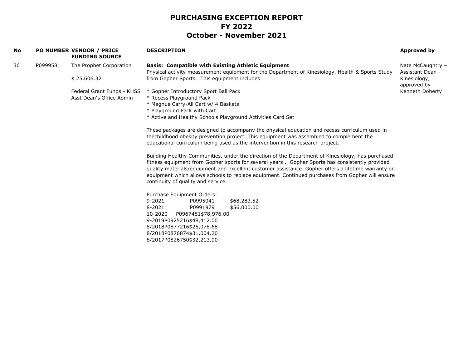| 36<br>P0999581<br>The Prophet Corporation<br><b>Basis: Compatible with Existing Athletic Equipment</b><br>Physical activity measurement equipment for the Department of Kinesiology, Health & Sports Study<br>\$25,606.32<br>from Gopher Sports. This equipment includes<br>approved by<br>Federal Grant Funds - KHSS<br>* Gopher Introductory Sport Ball Pack<br>* Recess Playground Pack<br>Asst Dean's Office Admin<br>* Magnus Carry-All Cart w/ 4 Baskets<br>* Playground Pack with Cart<br>* Active and Healthy Schools Playground Activities Card Set<br>These packages are designed to accompany the physical education and recess curriculum used in<br>thechildhood obesity prevention project. This equipment was assembled to complement the<br>educational curriculum being used as the intervention in this research project.<br>Building Healthy Communities, under the direction of the Department of Kinesiology, has purchased<br>fitness equipment from Gopher sports for several years. Gopher Sports has consistently provided<br>quality materials/equipment and excellent customer assistance. Gopher offers a lifetime warranty on<br>equipment which allows schools to replace equipment. Continued purchases from Gopher will ensure<br>continuity of quality and service.<br>Purchase Equipment Orders:<br>$9 - 2021$<br>P0995041<br>\$68,283.52<br>8-2021<br>\$56,000.00<br>P0991979<br>10-2020<br>P0967481\$78,976.00<br>9-2019P0925216\$48,412.00<br>8/2018P0877216\$25,078.68<br>8/2018P0876874\$31,004.20<br>8/2017P0826750\$32,213.00 | No | <b>PO NUMBER VENDOR / PRICE</b><br><b>FUNDING SOURCE</b> | <b>DESCRIPTION</b> | <b>Approved by</b>                                    |
|------------------------------------------------------------------------------------------------------------------------------------------------------------------------------------------------------------------------------------------------------------------------------------------------------------------------------------------------------------------------------------------------------------------------------------------------------------------------------------------------------------------------------------------------------------------------------------------------------------------------------------------------------------------------------------------------------------------------------------------------------------------------------------------------------------------------------------------------------------------------------------------------------------------------------------------------------------------------------------------------------------------------------------------------------------------------------------------------------------------------------------------------------------------------------------------------------------------------------------------------------------------------------------------------------------------------------------------------------------------------------------------------------------------------------------------------------------------------------------------------------------------------------------------------------------------------|----|----------------------------------------------------------|--------------------|-------------------------------------------------------|
|                                                                                                                                                                                                                                                                                                                                                                                                                                                                                                                                                                                                                                                                                                                                                                                                                                                                                                                                                                                                                                                                                                                                                                                                                                                                                                                                                                                                                                                                                                                                                                        |    |                                                          |                    | Nate McCaughtry -<br>Assistant Dean -<br>Kinesiology, |
|                                                                                                                                                                                                                                                                                                                                                                                                                                                                                                                                                                                                                                                                                                                                                                                                                                                                                                                                                                                                                                                                                                                                                                                                                                                                                                                                                                                                                                                                                                                                                                        |    |                                                          |                    | Kenneth Doherty                                       |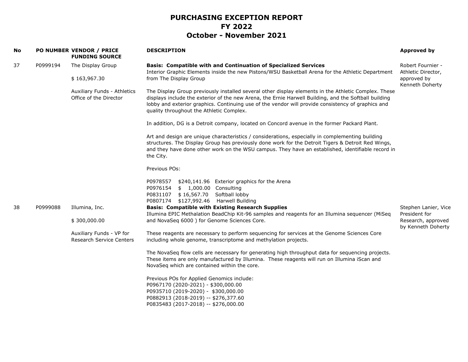| No |          | PO NUMBER VENDOR / PRICE<br><b>FUNDING SOURCE</b>           | <b>DESCRIPTION</b>                                                                                                                                                                                                                                                                                                                                              | Approved by                              |
|----|----------|-------------------------------------------------------------|-----------------------------------------------------------------------------------------------------------------------------------------------------------------------------------------------------------------------------------------------------------------------------------------------------------------------------------------------------------------|------------------------------------------|
| 37 | P0999194 | The Display Group                                           | <b>Basis: Compatible with and Continuation of Specialized Services</b><br>Interior Graphic Elements inside the new Pistons/WSU Basketball Arena for the Athletic Department                                                                                                                                                                                     | Robert Fournier -<br>Athletic Director,  |
|    |          | \$163,967.30                                                | from The Display Group                                                                                                                                                                                                                                                                                                                                          | approved by<br>Kenneth Doherty           |
|    |          | Auxiliary Funds - Athletics<br>Office of the Director       | The Display Group previously installed several other display elements in the Athletic Complex. These<br>displays include the exterior of the new Arena, the Ernie Harwell Building, and the Softball building<br>lobby and exterior graphics. Continuing use of the vendor will provide consistency of graphics and<br>quality throughout the Athletic Complex. |                                          |
|    |          |                                                             | In addition, DG is a Detroit company, located on Concord avenue in the former Packard Plant.                                                                                                                                                                                                                                                                    |                                          |
|    |          |                                                             | Art and design are unique characteristics / considerations, especially in complementing building<br>structures. The Display Group has previously done work for the Detroit Tigers & Detroit Red Wings,<br>and they have done other work on the WSU campus. They have an established, identifiable record in<br>the City.                                        |                                          |
|    |          |                                                             | Previous POs:                                                                                                                                                                                                                                                                                                                                                   |                                          |
|    |          |                                                             | P0978557<br>\$240,141.96 Exterior graphics for the Arena<br>\$ 1,000.00 Consulting<br>P0976154<br>P0831107 \$16,567.70 Softball lobby<br>P0807174 \$127,992.46 Harwell Building                                                                                                                                                                                 |                                          |
| 38 | P0999088 | Illumina, Inc.                                              | <b>Basis: Compatible with Existing Research Supplies</b><br>Illumina EPIC Methalation BeadChip Kit-96 samples and reagents for an Illumina sequencer (MiSeq                                                                                                                                                                                                     | Stephen Lanier, Vice<br>President for    |
|    |          | \$300,000.00                                                | and NovaSeq 6000) for Genome Sciences Core.                                                                                                                                                                                                                                                                                                                     | Research, approved<br>by Kenneth Doherty |
|    |          | Auxiliary Funds - VP for<br><b>Research Service Centers</b> | These reagents are necessary to perform sequencing for services at the Genome Sciences Core<br>including whole genome, transcriptome and methylation projects.                                                                                                                                                                                                  |                                          |
|    |          |                                                             | The NovaSeq flow cells are necessary for generating high throughput data for sequencing projects.<br>These items are only manufactured by Illumina. These reagents will run on Illumina iScan and<br>NovaSeq which are contained within the core.                                                                                                               |                                          |
|    |          |                                                             | Previous POs for Applied Genomics include:<br>P0967170 (2020-2021) - \$300,000.00<br>P0935710 (2019-2020) - \$300,000.00<br>P0882913 (2018-2019) -- \$276,377.60<br>P0835483 (2017-2018) -- \$276,000.00                                                                                                                                                        |                                          |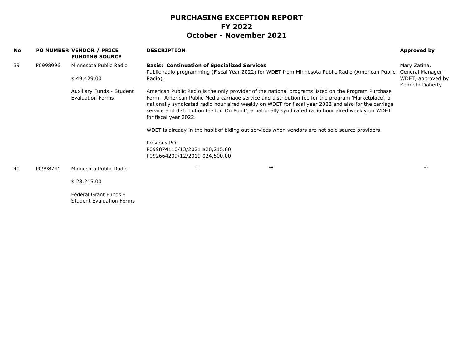| No |          | PO NUMBER VENDOR / PRICE<br><b>FUNDING SOURCE</b>        | <b>DESCRIPTION</b>                                                      |                                                                                                                                                                                                                                                                                                                                                                                                                                                                                                                             | Approved by                          |
|----|----------|----------------------------------------------------------|-------------------------------------------------------------------------|-----------------------------------------------------------------------------------------------------------------------------------------------------------------------------------------------------------------------------------------------------------------------------------------------------------------------------------------------------------------------------------------------------------------------------------------------------------------------------------------------------------------------------|--------------------------------------|
| 39 | P0998996 | Minnesota Public Radio                                   | <b>Basis: Continuation of Specialized Services</b>                      | Public radio programming (Fiscal Year 2022) for WDET from Minnesota Public Radio (American Public                                                                                                                                                                                                                                                                                                                                                                                                                           | Mary Zatina,<br>General Manager -    |
|    |          | \$49,429.00                                              | Radio).                                                                 |                                                                                                                                                                                                                                                                                                                                                                                                                                                                                                                             | WDET, approved by<br>Kenneth Doherty |
|    |          | Auxiliary Funds - Student<br>Evaluation Forms            | for fiscal year 2022.<br>Previous PO:<br>P099874110/13/2021 \$28,215.00 | American Public Radio is the only provider of the national programs listed on the Program Purchase<br>Form. American Public Media carriage service and distribution fee for the program 'Marketplace', a<br>nationally syndicated radio hour aired weekly on WDET for fiscal year 2022 and also for the carriage<br>service and distribution fee for 'On Point', a nationally syndicated radio hour aired weekly on WDET<br>WDET is already in the habit of biding out services when vendors are not sole source providers. |                                      |
|    |          |                                                          | P092664209/12/2019 \$24,500.00                                          |                                                                                                                                                                                                                                                                                                                                                                                                                                                                                                                             |                                      |
| 40 | P0998741 | Minnesota Public Radio                                   | <b>HH</b>                                                               | <b>HH</b>                                                                                                                                                                                                                                                                                                                                                                                                                                                                                                                   | $\mathbf{H}$                         |
|    |          | \$28,215.00                                              |                                                                         |                                                                                                                                                                                                                                                                                                                                                                                                                                                                                                                             |                                      |
|    |          | Federal Grant Funds -<br><b>Student Evaluation Forms</b> |                                                                         |                                                                                                                                                                                                                                                                                                                                                                                                                                                                                                                             |                                      |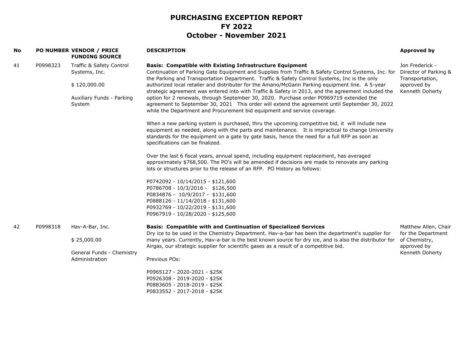| No |          | PO NUMBER VENDOR / PRICE<br><b>FUNDING SOURCE</b>                                                | <b>DESCRIPTION</b>                                                                                                                                                                                                                                                                                                                                                                                                                                                                                                                                                                                                                                                                                                                                      | <b>Approved by</b>                                                                            |
|----|----------|--------------------------------------------------------------------------------------------------|---------------------------------------------------------------------------------------------------------------------------------------------------------------------------------------------------------------------------------------------------------------------------------------------------------------------------------------------------------------------------------------------------------------------------------------------------------------------------------------------------------------------------------------------------------------------------------------------------------------------------------------------------------------------------------------------------------------------------------------------------------|-----------------------------------------------------------------------------------------------|
| 41 | P0998323 | Traffic & Safety Control<br>Systems, Inc.<br>\$120,000.00<br>Auxiliary Funds - Parking<br>System | <b>Basis: Compatible with Existing Infrastructure Equipment</b><br>Continuation of Parking Gate Equipment and Supplies from Traffic & Safety Control Systems, Inc. for<br>the Parking and Transportation Department. Traffic & Safety Control Systems, Inc is the only<br>authorized local retailer and distributer for the Amano/McGann Parking equipment line. A 5-year<br>strategic agreement was entered into with Traffic & Safety in 2013, and the agreement included the<br>option for 2 renewals, through September 30, 2020. Purchase order P0969719 extended the<br>agreement to September 30, 2021 This order will extend the agreement until September 30, 2022<br>while the Department and Procurement bid equipment and service coverage. | Jon Frederick -<br>Director of Parking &<br>Transportation,<br>approved by<br>Kenneth Doherty |
|    |          |                                                                                                  | When a new parking system is purchased, thru the upcoming competitive bid, it will include new<br>equipment as needed, along with the parts and maintenance. It is impractical to change University<br>standards for the equipment on a gate by gate basis, hence the need for a full RFP as soon as<br>specifications can be finalized.                                                                                                                                                                                                                                                                                                                                                                                                                |                                                                                               |
|    |          |                                                                                                  | Over the last 6 fiscal years, annual spend, including equipment replacement, has averaged<br>approximately \$768,500. The PO's will be amended if decisions are made to renovate any parking<br>lots or structures prior to the release of an RFP. PO History as follows:                                                                                                                                                                                                                                                                                                                                                                                                                                                                               |                                                                                               |
|    |          |                                                                                                  | P0742092 - 10/14/2015 - \$121,600<br>P0786708 - 10/3/2016 - \$126,500<br>P0834876 - 10/9/2017 - \$131,600<br>P0888126 - 11/14/2018 - \$131,600<br>P0932769 - 10/22/2019 - \$131,600<br>P0967919 - 10/28/2020 - \$125,600                                                                                                                                                                                                                                                                                                                                                                                                                                                                                                                                |                                                                                               |
| 42 | P0998318 | Hav-A-Bar, Inc.                                                                                  | <b>Basis: Compatible with and Continuation of Specialized Services</b><br>Dry ice to be used in the Chemistry Department. Hav-a-bar has been the department's supplier for                                                                                                                                                                                                                                                                                                                                                                                                                                                                                                                                                                              | Matthew Allen, Chair<br>for the Department                                                    |
|    |          | \$25,000.00                                                                                      | many years. Currently, Hav-a-bar is the best known source for dry ice, and is also the distributor for<br>Airgas, our strategic supplier for scientific gases as a result of a competitive bid.                                                                                                                                                                                                                                                                                                                                                                                                                                                                                                                                                         | of Chemistry,<br>approved by                                                                  |
|    |          | General Funds - Chemistry<br>Administration                                                      | Previous POs:                                                                                                                                                                                                                                                                                                                                                                                                                                                                                                                                                                                                                                                                                                                                           | Kenneth Doherty                                                                               |
|    |          |                                                                                                  | P0965127 - 2020-2021 - \$25K<br>P0926308 - 2019-2020 - \$25K<br>P0883605 - 2018-2019 - \$25K<br>P0833552 - 2017-2018 - \$25K                                                                                                                                                                                                                                                                                                                                                                                                                                                                                                                                                                                                                            |                                                                                               |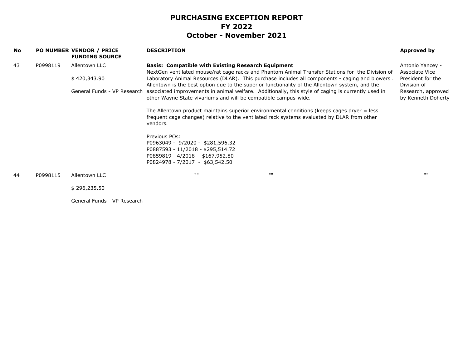| No |          | <b>PO NUMBER VENDOR / PRICE</b><br><b>FUNDING SOURCE</b> | <b>DESCRIPTION</b>                                                                                                                                                                                     | Approved by                              |
|----|----------|----------------------------------------------------------|--------------------------------------------------------------------------------------------------------------------------------------------------------------------------------------------------------|------------------------------------------|
| 43 | P0998119 | Allentown LLC                                            | <b>Basis: Compatible with Existing Research Equipment</b><br>NextGen ventilated mouse/rat cage racks and Phantom Animal Transfer Stations for the Division of                                          | Antonio Yancey -<br>Associate Vice       |
|    |          | \$420,343.90                                             | Laboratory Animal Resources (DLAR). This purchase includes all components - caging and blowers.<br>Allentown is the best option due to the superior functionality of the Allentown system, and the     | President for the<br>Division of         |
|    |          | General Funds - VP Research                              | associated improvements in animal welfare. Additionally, this style of caging is currently used in<br>other Wayne State vivariums and will be compatible campus-wide.                                  | Research, approved<br>by Kenneth Doherty |
|    |          |                                                          | The Allentown product maintains superior environmental conditions (keeps cages dryer = less<br>frequent cage changes) relative to the ventilated rack systems evaluated by DLAR from other<br>vendors. |                                          |
|    |          |                                                          | Previous POs:                                                                                                                                                                                          |                                          |
|    |          |                                                          | P0963049 - 9/2020 - \$281,596.32<br>P0887593 - 11/2018 - \$295,514.72                                                                                                                                  |                                          |
|    |          |                                                          | P0859819 - 4/2018 - \$167,952.80<br>P0824978 - 7/2017 - \$63,542.50                                                                                                                                    |                                          |
| 44 | P0998115 | Allentown LLC                                            | 1111<br>$\mathbf{H}$                                                                                                                                                                                   | 1111                                     |
|    |          | \$296,235.50                                             |                                                                                                                                                                                                        |                                          |
|    |          | General Funds - VP Research                              |                                                                                                                                                                                                        |                                          |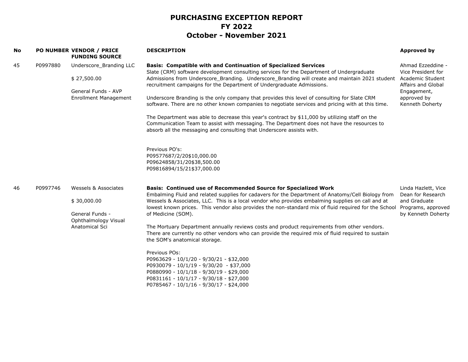| No |          | <b>PO NUMBER VENDOR / PRICE</b><br><b>FUNDING SOURCE</b>                                      | <b>DESCRIPTION</b>                                                                                                                                                                                                                                                                                                                                                                                                                                                                                                                                                                                                                                                                                                                                                                                                                                                                                       | Approved by                                                                                                                        |
|----|----------|-----------------------------------------------------------------------------------------------|----------------------------------------------------------------------------------------------------------------------------------------------------------------------------------------------------------------------------------------------------------------------------------------------------------------------------------------------------------------------------------------------------------------------------------------------------------------------------------------------------------------------------------------------------------------------------------------------------------------------------------------------------------------------------------------------------------------------------------------------------------------------------------------------------------------------------------------------------------------------------------------------------------|------------------------------------------------------------------------------------------------------------------------------------|
| 45 | P0997880 | Underscore Branding LLC<br>\$27,500.00<br>General Funds - AVP<br><b>Enrollment Management</b> | <b>Basis: Compatible with and Continuation of Specialized Services</b><br>Slate (CRM) software development consulting services for the Department of Undergraduate<br>Admissions from Underscore_Branding. Underscore_Branding will create and maintain 2021 student<br>recruitment campaigns for the Department of Undergraduate Admissions.<br>Underscore Branding is the only company that provides this level of consulting for Slate CRM<br>software. There are no other known companies to negotiate services and pricing with at this time.<br>The Department was able to decrease this year's contract by \$11,000 by utilizing staff on the<br>Communication Team to assist with messaging. The Department does not have the resources to<br>absorb all the messaging and consulting that Underscore assists with.<br>Previous PO's:<br>P09577687/2/20\$10,000.00<br>P09624858/31/20\$38,500.00 | Ahmad Ezzeddine -<br>Vice President for<br>Academic Student<br>Affairs and Global<br>Engagement,<br>approved by<br>Kenneth Doherty |
| 46 | P0997746 | Wessels & Associates                                                                          | P09816894/15/21\$37,000.00<br><b>Basis: Continued use of Recommended Source for Specialized Work</b>                                                                                                                                                                                                                                                                                                                                                                                                                                                                                                                                                                                                                                                                                                                                                                                                     | Linda Hazlett, Vice                                                                                                                |
|    |          | \$30,000.00<br>General Funds -<br>Ophthalmology Visual<br>Anatomical Sci                      | Embalming Fluid and related supplies for cadavers for the Department of Anatomy/Cell Biology from<br>Wessels & Associates, LLC. This is a local vendor who provides embalming supplies on call and at<br>lowest known prices. This vendor also provides the non-standard mix of fluid required for the School<br>of Medicine (SOM).<br>The Mortuary Department annually reviews costs and product requirements from other vendors.<br>There are currently no other vendors who can provide the required mix of fluid required to sustain<br>the SOM's anatomical storage.<br>Previous POs:                                                                                                                                                                                                                                                                                                               | Dean for Research<br>and Graduate<br>Programs, approved<br>by Kenneth Doherty                                                      |
|    |          |                                                                                               | P0963629 - 10/1/20 - 9/30/21 - \$32,000<br>P0930079 - 10/1/19 - 9/30/20 - \$37,000<br>P0880990 - 10/1/18 - 9/30/19 - \$29,000<br>P0831161 - 10/1/17 - 9/30/18 - \$27,000<br>P0785467 - 10/1/16 - 9/30/17 - \$24,000                                                                                                                                                                                                                                                                                                                                                                                                                                                                                                                                                                                                                                                                                      |                                                                                                                                    |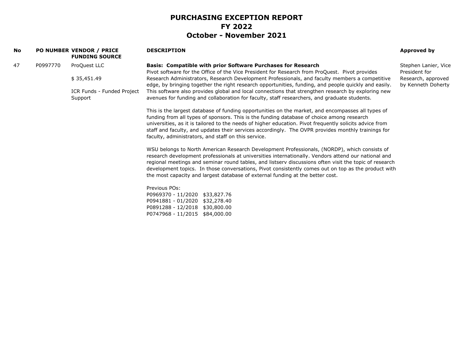| No |          | <b>PO NUMBER VENDOR / PRICE</b><br><b>FUNDING SOURCE</b> | <b>DESCRIPTION</b>                                                                                                                                                                                                                                                                                                                                                                                                                                                                                                                                                     | Approved by                              |
|----|----------|----------------------------------------------------------|------------------------------------------------------------------------------------------------------------------------------------------------------------------------------------------------------------------------------------------------------------------------------------------------------------------------------------------------------------------------------------------------------------------------------------------------------------------------------------------------------------------------------------------------------------------------|------------------------------------------|
| 47 | P0997770 | ProQuest LLC                                             | <b>Basis: Compatible with prior Software Purchases for Research</b><br>Pivot software for the Office of the Vice President for Research from ProQuest. Pivot provides                                                                                                                                                                                                                                                                                                                                                                                                  | Stephen Lanier, Vice<br>President for    |
|    |          | \$35,451.49                                              | Research Administrators, Research Development Professionals, and faculty members a competitive<br>edge, by bringing together the right research opportunities, funding, and people quickly and easily.                                                                                                                                                                                                                                                                                                                                                                 | Research, approved<br>by Kenneth Doherty |
|    |          | ICR Funds - Funded Project<br>Support                    | This software also provides global and local connections that strengthen research by exploring new<br>avenues for funding and collaboration for faculty, staff researchers, and graduate students.                                                                                                                                                                                                                                                                                                                                                                     |                                          |
|    |          |                                                          | This is the largest database of funding opportunities on the market, and encompasses all types of<br>funding from all types of sponsors. This is the funding database of choice among research<br>universities, as it is tailored to the needs of higher education. Pivot frequently solicits advice from<br>staff and faculty, and updates their services accordingly. The OVPR provides monthly trainings for<br>faculty, administrators, and staff on this service.<br>WSU belongs to North American Research Development Professionals, (NORDP), which consists of |                                          |
|    |          |                                                          | research development professionals at universities internationally. Vendors attend our national and<br>regional meetings and seminar round tables, and listserv discussions often visit the topic of research<br>development topics. In those conversations, Pivot consistently comes out on top as the product with<br>the most capacity and largest database of external funding at the better cost.                                                                                                                                                                 |                                          |
|    |          |                                                          | Previous POs:<br>P0969370 - 11/2020 \$33,827.76                                                                                                                                                                                                                                                                                                                                                                                                                                                                                                                        |                                          |
|    |          |                                                          | P0941881 - 01/2020 \$32,278.40<br>P0891288 - 12/2018 \$30,800.00<br>P0747968 - 11/2015 \$84,000.00                                                                                                                                                                                                                                                                                                                                                                                                                                                                     |                                          |
|    |          |                                                          |                                                                                                                                                                                                                                                                                                                                                                                                                                                                                                                                                                        |                                          |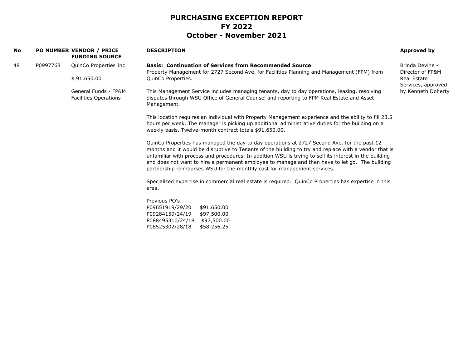| No |          | PO NUMBER VENDOR / PRICE<br><b>FUNDING SOURCE</b>    | <b>DESCRIPTION</b>                                                                                                                                                                                                                                                                                                                                                                                                                                                                           | Approved by                         |
|----|----------|------------------------------------------------------|----------------------------------------------------------------------------------------------------------------------------------------------------------------------------------------------------------------------------------------------------------------------------------------------------------------------------------------------------------------------------------------------------------------------------------------------------------------------------------------------|-------------------------------------|
| 48 | P0997768 | QuinCo Properties Inc                                | <b>Basis: Continuation of Services from Recommended Source</b><br>Property Management for 2727 Second Ave. for Facilities Planning and Management (FPM) from                                                                                                                                                                                                                                                                                                                                 | Brinda Devine -<br>Director of FP&M |
|    |          | \$91,650.00                                          | QuinCo Properties.                                                                                                                                                                                                                                                                                                                                                                                                                                                                           | Real Estate<br>Services, approved   |
|    |          | General Funds - FP&M<br><b>Facilities Operations</b> | This Management Service includes managing tenants, day to day operations, leasing, resolving<br>disputes through WSU Office of General Counsel and reporting to FPM Real Estate and Asset<br>Management.                                                                                                                                                                                                                                                                                     | by Kenneth Doherty                  |
|    |          |                                                      | This location requires an individual with Property Management experience and the ability to fill 23.5<br>hours per week. The manager is picking up additional administrative duties for the building on a<br>weekly basis. Twelve-month contract totals \$91,650.00.                                                                                                                                                                                                                         |                                     |
|    |          |                                                      | QuinCo Properties has managed the day to day operations at 2727 Second Ave. for the past 12<br>months and it would be disruptive to Tenants of the building to try and replace with a vendor that is<br>unfamiliar with process and procedures. In addition WSU is trying to sell its interest in the building<br>and does not want to hire a permanent employee to manage and then have to let go. The building<br>partnership reimburses WSU for the monthly cost for management services. |                                     |
|    |          |                                                      | Specialized expertise in commercial real estate is required. QuinCo Properties has expertise in this<br>area.                                                                                                                                                                                                                                                                                                                                                                                |                                     |
|    |          |                                                      | Previous PO's:<br>P09651919/29/20<br>\$91,650.00<br>P09284159/24/19<br>\$97,500.00<br>P088495310/24/18<br>\$97,500.00<br>P08525302/28/18<br>\$58,256.25                                                                                                                                                                                                                                                                                                                                      |                                     |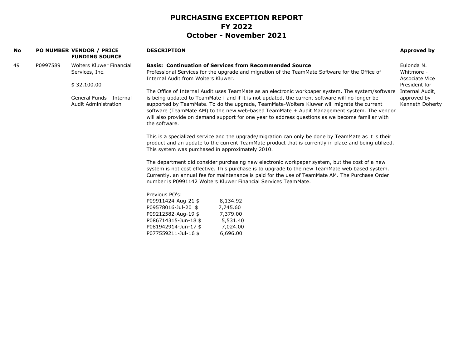| <b>No</b> |          | <b>PO NUMBER VENDOR / PRICE</b><br><b>FUNDING SOURCE</b> | <b>DESCRIPTION</b>                                             |                                                                                                                                                                                                                                                                                                     | Approved by                    |
|-----------|----------|----------------------------------------------------------|----------------------------------------------------------------|-----------------------------------------------------------------------------------------------------------------------------------------------------------------------------------------------------------------------------------------------------------------------------------------------------|--------------------------------|
| 49        | P0997589 | Wolters Kluwer Financial                                 | <b>Basis: Continuation of Services from Recommended Source</b> |                                                                                                                                                                                                                                                                                                     | Eulonda N.                     |
|           |          | Services, Inc.                                           | Internal Audit from Wolters Kluwer.                            | Professional Services for the upgrade and migration of the TeamMate Software for the Office of                                                                                                                                                                                                      | Whitmore -<br>Associate Vice   |
|           |          | \$32,100.00                                              |                                                                |                                                                                                                                                                                                                                                                                                     | President for                  |
|           |          |                                                          |                                                                | The Office of Internal Audit uses TeamMate as an electronic workpaper system. The system/software                                                                                                                                                                                                   | Internal Audit,                |
|           |          | General Funds - Internal<br>Audit Administration         |                                                                | is being updated to TeamMate+ and if it is not updated, the current software will no longer be<br>supported by TeamMate. To do the upgrade, TeamMate-Wolters Kluwer will migrate the current                                                                                                        | approved by<br>Kenneth Doherty |
|           |          |                                                          | the software.                                                  | software (TeamMate AM) to the new web-based TeamMate + Audit Management system. The vendor<br>will also provide on demand support for one year to address questions as we become familiar with                                                                                                      |                                |
|           |          |                                                          |                                                                | This is a specialized service and the upgrade/migration can only be done by TeamMate as it is their                                                                                                                                                                                                 |                                |
|           |          |                                                          | This system was purchased in approximately 2010.               | product and an update to the current TeamMate product that is currently in place and being utilized.                                                                                                                                                                                                |                                |
|           |          |                                                          | number is P0991142 Wolters Kluwer Financial Services TeamMate. | The department did consider purchasing new electronic workpaper system, but the cost of a new<br>system is not cost effective. This purchase is to upgrade to the new TeamMate web based system.<br>Currently, an annual fee for maintenance is paid for the use of TeamMate AM. The Purchase Order |                                |
|           |          |                                                          |                                                                |                                                                                                                                                                                                                                                                                                     |                                |
|           |          |                                                          | Previous PO's:                                                 |                                                                                                                                                                                                                                                                                                     |                                |
|           |          |                                                          | P09911424-Aug-21 \$<br>8,134.92                                |                                                                                                                                                                                                                                                                                                     |                                |
|           |          |                                                          | P09578016-Jul-20 \$<br>7,745.60                                |                                                                                                                                                                                                                                                                                                     |                                |
|           |          |                                                          | P09212582-Aug-19 \$<br>7,379.00                                |                                                                                                                                                                                                                                                                                                     |                                |
|           |          |                                                          | P086714315-Jun-18 \$<br>5,531.40                               |                                                                                                                                                                                                                                                                                                     |                                |
|           |          |                                                          | 7,024.00<br>P081942914-Jun-17 \$                               |                                                                                                                                                                                                                                                                                                     |                                |
|           |          |                                                          | P077559211-Jul-16 \$<br>6,696.00                               |                                                                                                                                                                                                                                                                                                     |                                |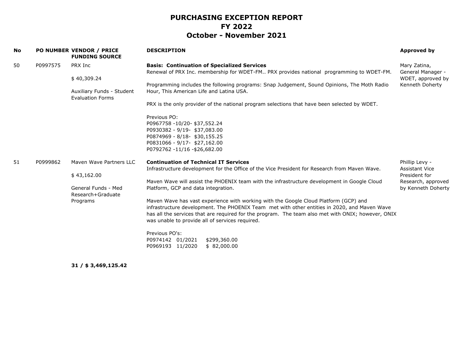| No |          | <b>PO NUMBER VENDOR / PRICE</b><br><b>FUNDING SOURCE</b>            | <b>DESCRIPTION</b>                                                                                                                                                                                                                                                                                                                            | Approved by                                                                                          |
|----|----------|---------------------------------------------------------------------|-----------------------------------------------------------------------------------------------------------------------------------------------------------------------------------------------------------------------------------------------------------------------------------------------------------------------------------------------|------------------------------------------------------------------------------------------------------|
| 50 | P0997575 | PRX Inc                                                             | <b>Basis: Continuation of Specialized Services</b><br>Renewal of PRX Inc. membership for WDET-FM PRX provides national programming to WDET-FM.                                                                                                                                                                                                | Mary Zatina,<br>General Manager -                                                                    |
|    |          | \$40,309.24<br>Auxiliary Funds - Student<br><b>Evaluation Forms</b> | Programming includes the following programs: Snap Judgement, Sound Opinions, The Moth Radio<br>Hour, This American Life and Latina USA.<br>PRX is the only provider of the national program selections that have been selected by WDET.                                                                                                       | WDET, approved by<br>Kenneth Doherty                                                                 |
|    |          |                                                                     | Previous PO:<br>P0967758 -10/20- \$37,552.24<br>P0930382 - 9/19- \$37,083.00<br>P0874969 - 8/18- \$30,155.25<br>P0831066 - 9/17- \$27,162.00<br>P0792762 -11/16 -\$26,682.00                                                                                                                                                                  |                                                                                                      |
| 51 | P0999862 | Mayen Waye Partners LLC                                             | <b>Continuation of Technical IT Services</b><br>Infrastructure development for the Office of the Vice President for Research from Maven Wave.                                                                                                                                                                                                 | Phillip Levy -<br><b>Assistant Vice</b><br>President for<br>Research, approved<br>by Kenneth Doherty |
|    |          | \$43,162.00<br>General Funds - Med<br>Research+Graduate             | Maven Wave will assist the PHOENIX team with the infrastructure development in Google Cloud                                                                                                                                                                                                                                                   |                                                                                                      |
|    |          |                                                                     | Platform, GCP and data integration.                                                                                                                                                                                                                                                                                                           |                                                                                                      |
|    |          | Programs                                                            | Maven Wave has vast experience with working with the Google Cloud Platform (GCP) and<br>infrastructure development. The PHOENIX Team met with other entities in 2020, and Maven Wave<br>has all the services that are required for the program. The team also met with ONIX; however, ONIX<br>was unable to provide all of services required. |                                                                                                      |
|    |          |                                                                     | Previous PO's:<br>P0974142 01/2021<br>\$299,360.00<br>\$82,000.00<br>P0969193 11/2020                                                                                                                                                                                                                                                         |                                                                                                      |

**31 / \$ 3,469,125.42**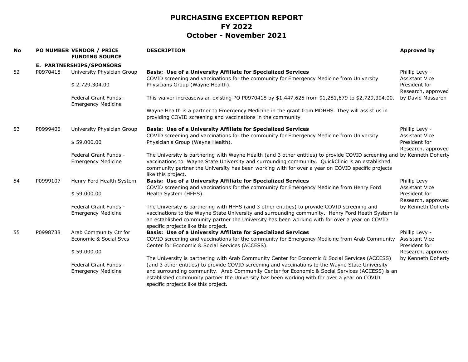| <b>No</b> |          | PO NUMBER VENDOR / PRICE<br><b>FUNDING SOURCE</b>  | <b>DESCRIPTION</b>                                                                                                                                                                                                                                                                                                                                                                                                                           | <b>Approved by</b>                                       |
|-----------|----------|----------------------------------------------------|----------------------------------------------------------------------------------------------------------------------------------------------------------------------------------------------------------------------------------------------------------------------------------------------------------------------------------------------------------------------------------------------------------------------------------------------|----------------------------------------------------------|
|           |          | E. PARTNERSHIPS/SPONSORS                           |                                                                                                                                                                                                                                                                                                                                                                                                                                              |                                                          |
| 52        | P0970418 | University Physician Group                         | <b>Basis: Use of a University Affiliate for Specialized Services</b><br>COVID screening and vaccinations for the community for Emergency Medicine from University                                                                                                                                                                                                                                                                            | Phillip Levy -<br><b>Assistant Vice</b>                  |
|           |          | \$2,729,304.00                                     | Physicians Group (Wayne Health).                                                                                                                                                                                                                                                                                                                                                                                                             | President for<br>Research, approved                      |
|           |          | Federal Grant Funds -<br><b>Emergency Medicine</b> | This waiver increasews an existing PO P0970418 by \$1,447,625 from \$1,281,679 to \$2,729,304.00.                                                                                                                                                                                                                                                                                                                                            | by David Massaron                                        |
|           |          |                                                    | Wayne Health is a partner to Emergency Medicine in the grant from MDHHS. They will assist us in<br>providing COVID screening and vaccinations in the community                                                                                                                                                                                                                                                                               |                                                          |
| 53        | P0999406 | University Physician Group                         | <b>Basis: Use of a University Affiliate for Specialized Services</b><br>COVID screening and vaccinations for the community for Emergency Medicine from University                                                                                                                                                                                                                                                                            | Phillip Levy -<br>Assistant Vice                         |
|           |          | \$59,000.00                                        | Physician's Group (Wayne Health).                                                                                                                                                                                                                                                                                                                                                                                                            | President for<br>Research, approved                      |
|           |          | Federal Grant Funds -<br><b>Emergency Medicine</b> | The University is partnering with Wayne Health (and 3 other entities) to provide COVID screening and by Kenneth Doherty<br>vaccinations to Wayne State University and surrounding community. QuickClinic is an established<br>community partner the University has been working with for over a year on COVID specific projects<br>like this project.                                                                                        |                                                          |
| 54        | P0999107 | Henry Ford Health System                           | <b>Basis: Use of a University Affiliate for Specialized Services</b><br>COVID screening and vaccinations for the community for Emergency Medicine from Henry Ford                                                                                                                                                                                                                                                                            | Phillip Levy -<br><b>Assistant Vice</b>                  |
|           |          | \$59,000.00                                        | Health System (HFHS).                                                                                                                                                                                                                                                                                                                                                                                                                        | President for<br>Research, approved                      |
|           |          | Federal Grant Funds -<br><b>Emergency Medicine</b> | The University is partnering with HFHS (and 3 other entities) to provide COVID screening and<br>vaccinations to the Wayne State University and surrounding community. Henry Ford Heath System is<br>an established community partner the University has been working with for over a year on COVID<br>specific projects like this project.                                                                                                   | by Kenneth Doherty                                       |
| 55        | P0998738 | Arab Community Ctr for<br>Economic & Social Sycs   | <b>Basis: Use of a University Affiliate for Specialized Services</b><br>COVID screening and vaccinations for the community for Emergency Medicine from Arab Community<br>Center for Economic & Social Services (ACCESS).                                                                                                                                                                                                                     | Phillip Levy -<br><b>Assistant Vice</b><br>President for |
|           |          | \$59,000.00                                        |                                                                                                                                                                                                                                                                                                                                                                                                                                              | Research, approved                                       |
|           |          | Federal Grant Funds -<br><b>Emergency Medicine</b> | The University is partnering with Arab Community Center for Economic & Social Services (ACCESS)<br>(and 3 other entities) to provide COVID screening and vaccinations to the Wayne State University<br>and surrounding community. Arab Community Center for Economic & Social Services (ACCESS) is an<br>established community partner the University has been working with for over a year on COVID<br>specific projects like this project. | by Kenneth Doherty                                       |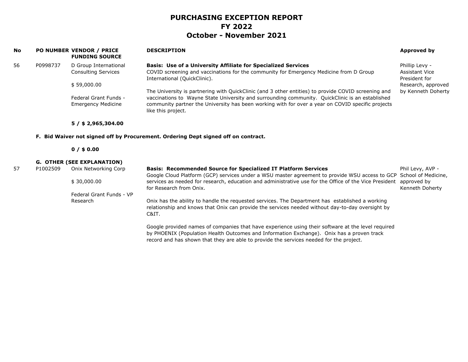| No |                                                                                    | PO NUMBER VENDOR / PRICE<br><b>FUNDING SOURCE</b>   | <b>DESCRIPTION</b>                                                                                                                                                                                                                                                                                                                | <b>Approved by</b>                                       |  |  |  |  |
|----|------------------------------------------------------------------------------------|-----------------------------------------------------|-----------------------------------------------------------------------------------------------------------------------------------------------------------------------------------------------------------------------------------------------------------------------------------------------------------------------------------|----------------------------------------------------------|--|--|--|--|
| 56 | P0998737                                                                           | D Group International<br><b>Consulting Services</b> | <b>Basis: Use of a University Affiliate for Specialized Services</b><br>COVID screening and vaccinations for the community for Emergency Medicine from D Group<br>International (QuickClinic).                                                                                                                                    | Phillip Levy -<br><b>Assistant Vice</b><br>President for |  |  |  |  |
|    |                                                                                    | \$59,000.00                                         |                                                                                                                                                                                                                                                                                                                                   | Research, approved                                       |  |  |  |  |
|    |                                                                                    | Federal Grant Funds -<br><b>Emergency Medicine</b>  | The University is partnering with QuickClinic (and 3 other entities) to provide COVID screening and<br>vaccinations to Wayne State University and surrounding community. QuickClinic is an established<br>community partner the University has been working with for over a year on COVID specific projects<br>like this project. | by Kenneth Doherty                                       |  |  |  |  |
|    |                                                                                    | $5/$ \$ 2,965,304.00                                |                                                                                                                                                                                                                                                                                                                                   |                                                          |  |  |  |  |
|    | F. Bid Waiver not signed off by Procurement. Ordering Dept signed off on contract. |                                                     |                                                                                                                                                                                                                                                                                                                                   |                                                          |  |  |  |  |
|    |                                                                                    | $0/$ \$ 0.00                                        |                                                                                                                                                                                                                                                                                                                                   |                                                          |  |  |  |  |
|    |                                                                                    | <b>G. OTHER (SEE EXPLANATION)</b>                   |                                                                                                                                                                                                                                                                                                                                   |                                                          |  |  |  |  |
| 57 | P1002509                                                                           | Onix Networking Corp                                | <b>Basis: Recommended Source for Specialized IT Platform Services</b><br>Google Cloud Platform (GCP) services under a WSU master agreement to provide WSU access to GCP                                                                                                                                                           | Phil Levy, AVP -<br>School of Medicine,                  |  |  |  |  |
|    |                                                                                    | \$30,000.00                                         | services as needed for research, education and administrative use for the Office of the Vice President<br>for Research from Onix.                                                                                                                                                                                                 | approved by<br>Kenneth Doherty                           |  |  |  |  |
|    |                                                                                    | Federal Grant Funds - VP                            |                                                                                                                                                                                                                                                                                                                                   |                                                          |  |  |  |  |
|    |                                                                                    | Research                                            | Onix has the ability to handle the requested services. The Department has established a working<br>relationship and knows that Onix can provide the services needed without day-to-day oversight by<br>C&IT.                                                                                                                      |                                                          |  |  |  |  |
|    |                                                                                    |                                                     | Google provided names of companies that have experience using their software at the level required<br>by PHOENIX (Population Health Outcomes and Information Exchange). Onix has a proven track                                                                                                                                   |                                                          |  |  |  |  |

record and has shown that they are able to provide the services needed for the project.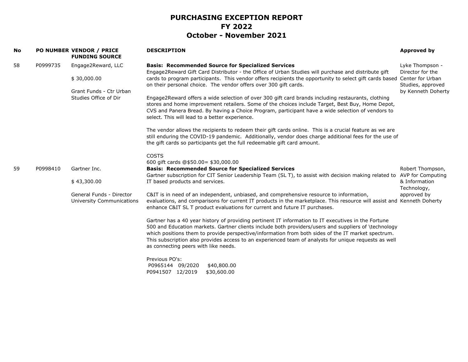| No |          | PO NUMBER VENDOR / PRICE<br><b>FUNDING SOURCE</b>     | <b>DESCRIPTION</b>                                                                                                                                                                                                                                                                                                                                                                                                                                                 | <b>Approved by</b>                      |
|----|----------|-------------------------------------------------------|--------------------------------------------------------------------------------------------------------------------------------------------------------------------------------------------------------------------------------------------------------------------------------------------------------------------------------------------------------------------------------------------------------------------------------------------------------------------|-----------------------------------------|
| 58 | P0999735 | Engage2Reward, LLC<br>\$30,000.00                     | <b>Basis: Recommended Source for Specialized Services</b><br>Engage2Reward Gift Card Distributor - the Office of Urban Studies will purchase and distribute gift<br>cards to program participants. This vendor offers recipients the opportunity to select gift cards based Center for Urban                                                                                                                                                                       | Lyke Thompson -<br>Director for the     |
|    |          | Grant Funds - Ctr Urban                               | on their personal choice. The vendor offers over 300 gift cards.                                                                                                                                                                                                                                                                                                                                                                                                   | Studies, approved<br>by Kenneth Doherty |
|    |          | Studies Office of Dir                                 | Engage2Reward offers a wide selection of over 300 gift card brands including restaurants, clothing<br>stores and home improvement retailers. Some of the choices include Target, Best Buy, Home Depot,<br>CVS and Panera Bread. By having a Choice Program, participant have a wide selection of vendors to<br>select. This will lead to a better experience.                                                                                                      |                                         |
|    |          |                                                       | The vendor allows the recipients to redeem their gift cards online. This is a crucial feature as we are<br>still enduring the COVID-19 pandemic. Additionally, vendor does charge additional fees for the use of<br>the gift cards so participants get the full redeemable gift card amount.                                                                                                                                                                       |                                         |
|    |          |                                                       | <b>COSTS</b>                                                                                                                                                                                                                                                                                                                                                                                                                                                       |                                         |
|    |          |                                                       | 600 gift cards @\$50.00= \$30,000.00                                                                                                                                                                                                                                                                                                                                                                                                                               |                                         |
| 59 | P0998410 | Gartner Inc.                                          | <b>Basis: Recommended Source for Specialized Services</b>                                                                                                                                                                                                                                                                                                                                                                                                          | Robert Thompson,                        |
|    |          | \$43,300.00                                           | Gartner subscription for CIT Senior Leadership Team (SL T), to assist with decision making related to AVP for Computing<br>IT based products and services.                                                                                                                                                                                                                                                                                                         | & Information<br>Technology,            |
|    |          | General Funds - Director<br>University Communications | C&IT is in need of an independent, unbiased, and comprehensive resource to information,<br>evaluations, and comparisons for current IT products in the marketplace. This resource will assist and Kenneth Doherty<br>enhance C&IT SL T product evaluations for current and future IT purchases.                                                                                                                                                                    | approved by                             |
|    |          |                                                       | Gartner has a 40 year history of providing pertinent IT information to IT executives in the Fortune<br>500 and Education markets. Gartner clients include both providers/users and suppliers of \technology<br>which positions them to provide perspective/information from both sides of the IT market spectrum.<br>This subscription also provides access to an experienced team of analysts for unique requests as well<br>as connecting peers with like needs. |                                         |
|    |          |                                                       | Previous PO's:<br>P0965144 09/2020<br>\$40,800.00<br>P0941507 12/2019<br>\$30,600.00                                                                                                                                                                                                                                                                                                                                                                               |                                         |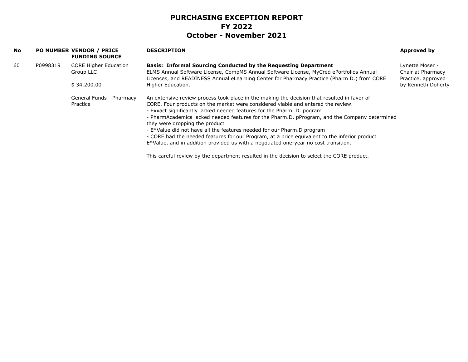| No |          | <b>PO NUMBER VENDOR / PRICE</b><br><b>FUNDING SOURCE</b>                                             | <b>DESCRIPTION</b>                                                                                                              | Approved by                             |
|----|----------|------------------------------------------------------------------------------------------------------|---------------------------------------------------------------------------------------------------------------------------------|-----------------------------------------|
| 60 | P0998319 | <b>CORE Higher Education</b>                                                                         | <b>Basis: Informal Sourcing Conducted by the Requesting Department</b>                                                          | Lynette Moser -                         |
|    |          | ELMS Annual Software License, CompMS Annual Software License, MyCred ePortfolios Annual<br>Group LLC | Licenses, and READINESS Annual eLearning Center for Pharmacy Practice (Pharm D.) from CORE                                      | Chair at Pharmacy<br>Practice, approved |
|    |          | \$34,200.00                                                                                          | Higher Education.                                                                                                               | by Kenneth Doherty                      |
|    |          | General Funds - Pharmacy                                                                             | An extensive review process took place in the making the decision that resulted in favor of                                     |                                         |
|    |          | Practice                                                                                             | CORE. Four products on the market were considered viable and entered the review.                                                |                                         |
|    |          |                                                                                                      | - Exxact significantly lacked needed features for the Pharm. D. pogram                                                          |                                         |
|    |          |                                                                                                      | - PharmAcademica lacked needed features for the Pharm.D. pProgram, and the Company determined<br>they were dropping the product |                                         |
|    |          |                                                                                                      | - E*Value did not have all the features needed for our Pharm.D program                                                          |                                         |
|    |          |                                                                                                      | - CORE had the needed features for our Program, at a price equivalent to the inferior product                                   |                                         |
|    |          |                                                                                                      | E*Value, and in addition provided us with a negotiated one-year no cost transition.                                             |                                         |
|    |          |                                                                                                      |                                                                                                                                 |                                         |

This careful review by the department resulted in the decision to select the CORE product.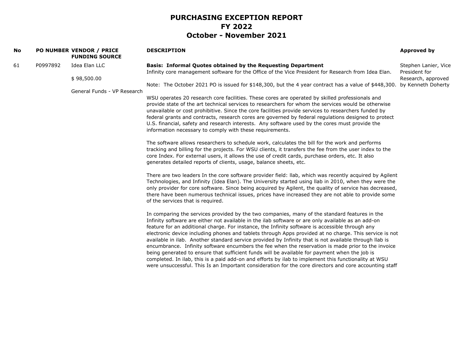| No |          | PO NUMBER VENDOR / PRICE<br><b>FUNDING SOURCE</b> | <b>DESCRIPTION</b>                                                                                                                                                                                                                                                                                                                                                                                                                                                                                                         | Approved by                                                 |
|----|----------|---------------------------------------------------|----------------------------------------------------------------------------------------------------------------------------------------------------------------------------------------------------------------------------------------------------------------------------------------------------------------------------------------------------------------------------------------------------------------------------------------------------------------------------------------------------------------------------|-------------------------------------------------------------|
| 61 | P0997892 | Idea Elan LLC<br>\$98,500.00                      | Basis: Informal Quotes obtained by the Requesting Department<br>Infinity core management software for the Office of the Vice President for Research from Idea Elan.                                                                                                                                                                                                                                                                                                                                                        | Stephen Lanier, Vice<br>President for<br>Research, approved |
|    |          | General Funds - VP Research                       | Note: The October 2021 PO is issued for \$148,300, but the 4 year contract has a value of \$448,300.<br>WSU operates 20 research core facilities. These cores are operated by skilled professionals and                                                                                                                                                                                                                                                                                                                    | by Kenneth Doherty                                          |
|    |          |                                                   | provide state of the art technical services to researchers for whom the services would be otherwise<br>unavailable or cost prohibitive. Since the core facilities provide services to researchers funded by<br>federal grants and contracts, research cores are governed by federal regulations designed to protect<br>U.S. financial, safety and research interests. Any software used by the cores must provide the<br>information necessary to comply with these requirements.                                          |                                                             |
|    |          |                                                   | The software allows researchers to schedule work, calculates the bill for the work and performs<br>tracking and billing for the projects. For WSU clients, it transfers the fee from the user index to the<br>core Index. For external users, it allows the use of credit cards, purchase orders, etc. It also<br>generates detailed reports of clients, usage, balance sheets, etc.                                                                                                                                       |                                                             |
|    |          |                                                   | There are two leaders In the core software provider field: Ilab, which was recently acquired by Agilent<br>Technologies, and Infinity (Idea Elan). The University started using Ilab in 2010, when they were the<br>only provider for core software. Since being acquired by Agilent, the quality of service has decreased,<br>there have been numerous technical issues, prices have increased they are not able to provide some<br>of the services that is required.                                                     |                                                             |
|    |          |                                                   | In comparing the services provided by the two companies, many of the standard features in the<br>Infinity software are either not available in the ilab software or are only available as an add-on<br>feature for an additional charge. For instance, the Infinity software is accessible through any<br>electronic device including phones and tablets through Apps provided at no charge. This service is not<br>available in ilab. Another standard service provided by Infinity that is not available through llab is |                                                             |
|    |          |                                                   | encumbrance. Infinity software encumbers the fee when the reservation is made prior to the invoice<br>being generated to ensure that sufficient funds will be available for payment when the job is<br>completed. In ilab, this is a paid add-on and efforts by ilab to implement this functionality at WSU<br>were unsuccessful. This Is an Important consideration for the core directors and core accounting staff                                                                                                      |                                                             |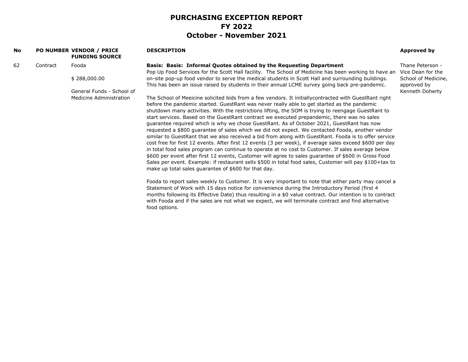| No |          | <b>PO NUMBER VENDOR / PRICE</b><br><b>FUNDING SOURCE</b>                                                     | <b>DESCRIPTION</b>                                                                                                                                                                                                                                                                                                                                                                                                                                                                                                                                                                                                                                                                                                                                                                                                                                                                                                                                                                                                                                                                                                                                         | Approved by                                             |
|----|----------|--------------------------------------------------------------------------------------------------------------|------------------------------------------------------------------------------------------------------------------------------------------------------------------------------------------------------------------------------------------------------------------------------------------------------------------------------------------------------------------------------------------------------------------------------------------------------------------------------------------------------------------------------------------------------------------------------------------------------------------------------------------------------------------------------------------------------------------------------------------------------------------------------------------------------------------------------------------------------------------------------------------------------------------------------------------------------------------------------------------------------------------------------------------------------------------------------------------------------------------------------------------------------------|---------------------------------------------------------|
| 62 | Contract | Fooda                                                                                                        | Basis: Basis: Informal Quotes obtained by the Requesting Department                                                                                                                                                                                                                                                                                                                                                                                                                                                                                                                                                                                                                                                                                                                                                                                                                                                                                                                                                                                                                                                                                        | Thane Peterson -                                        |
|    |          | \$288,000.00                                                                                                 | Pop Up Food Services for the Scott Hall facility. The School of Medicine has been working to have an<br>on-site pop-up food vendor to serve the medical students in Scott Hall and surrounding buildings.<br>This has been an issue raised by students in their annual LCME survey going back pre-pandemic.                                                                                                                                                                                                                                                                                                                                                                                                                                                                                                                                                                                                                                                                                                                                                                                                                                                | Vice Dean for the<br>School of Medicine,<br>approved by |
|    |          | General Funds - School of<br>Medicine Administration<br>make up total sales quarantee of \$600 for that day. | The School of Meeicine solicited bids from a few vendors. It initially contracted with GuestRant right<br>before the pandemic started. GuestRant was never really able to get started as the pandemic<br>shutdown many activities. With the restrictions lifting, the SOM is trying to reengage GuestRant to<br>start services. Based on the GuestRant contract we executed prepandemic, there was no sales<br>guarantee required which is why we chose GuestRant. As of October 2021, GuestRant has now<br>requested a \$800 guarantee of sales which we did not expect. We contacted Fooda, another vendor<br>similar to GuestRant that we also received a bid from along with GuestRant. Fooda is to offer service<br>cost free for first 12 events. After first 12 events (3 per week), if average sales exceed \$600 per day<br>in total food sales program can continue to operate at no cost to Customer. If sales average below<br>\$600 per event after first 12 events, Customer will agree to sales guarantee of \$600 in Gross Food<br>Sales per event. Example: if restaurant sells \$500 in total food sales, Customer will pay \$100+tax to | Kenneth Doherty                                         |
|    |          |                                                                                                              | Fooda to report sales weekly to Customer. It is very important to note that either party may cancel a<br>Statement of Work with 15 days notice for convenience during the Introductory Period (first 4<br>months following its Effective Date) thus resulting in a \$0 value contract. Our intention is to contract<br>with Fooda and if the sales are not what we expect, we will terminate contract and find alternative<br>food options.                                                                                                                                                                                                                                                                                                                                                                                                                                                                                                                                                                                                                                                                                                                |                                                         |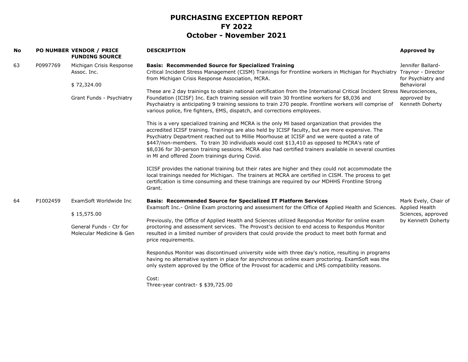| No |          | PO NUMBER VENDOR / PRICE<br><b>FUNDING SOURCE</b>                                  | <b>DESCRIPTION</b>                                                                                                                                                                                                                                                                                                                                                                                                                                                                                                                                              | Approved by                                                                                                   |
|----|----------|------------------------------------------------------------------------------------|-----------------------------------------------------------------------------------------------------------------------------------------------------------------------------------------------------------------------------------------------------------------------------------------------------------------------------------------------------------------------------------------------------------------------------------------------------------------------------------------------------------------------------------------------------------------|---------------------------------------------------------------------------------------------------------------|
| 63 | P0997769 | Michigan Crisis Response<br>Assoc. Inc.<br>\$72,324.00<br>Grant Funds - Psychiatry | <b>Basis: Recommended Source for Specialized Training</b><br>Critical Incident Stress Management (CISM) Trainings for Frontline workers in Michigan for Psychiatry<br>from Michigan Crisis Response Association, MCRA.                                                                                                                                                                                                                                                                                                                                          | Jennifer Ballard-<br>Traynor - Director<br>for Psychiatry and<br>Behavioral<br>approved by<br>Kenneth Doherty |
|    |          |                                                                                    | These are 2 day trainings to obtain national certification from the International Critical Incident Stress Neurosciences,<br>Foundation (ICISF) Inc. Each training session will train 30 frontline workers for \$8,036 and<br>Psychaiatry is anticipating 9 training sessions to train 270 people. Frontline workers will comprise of<br>various police, fire fighters, EMS, dispatch, and corrections employees.                                                                                                                                               |                                                                                                               |
|    |          |                                                                                    | This is a very specialized training and MCRA is the only MI based organization that provides the<br>accredited ICISF training. Trainings are also held by ICISF faculty, but are more expensive. The<br>Psychiatry Department reached out to Millie Moorhouse at ICISF and we were quoted a rate of<br>\$447/non-members. To train 30 individuals would cost \$13,410 as opposed to MCRA's rate of<br>\$8,036 for 30-person training sessions. MCRA also had certified trainers available in several counties<br>in MI and offered Zoom trainings during Covid. |                                                                                                               |
|    |          |                                                                                    | ICISF provides the national training but their rates are higher and they could not accommodate the<br>local trainings needed for Michigan. The trainers at MCRA are certified in CISM. The process to get<br>certification is time consuming and these trainings are required by our MDHHS Frontline Strong<br>Grant.                                                                                                                                                                                                                                           |                                                                                                               |
| 64 | P1002459 | ExamSoft Worldwide Inc                                                             | <b>Basis: Recommended Source for Specialized IT Platform Services</b><br>Examsoft Inc.- Online Exam proctoring and assessment for the Office of Applied Health and Sciences.                                                                                                                                                                                                                                                                                                                                                                                    | Mark Evely, Chair of<br><b>Applied Health</b>                                                                 |
|    |          | \$15,575.00                                                                        | Previously, the Office of Applied Health and Sciences utilized Respondus Monitor for online exam                                                                                                                                                                                                                                                                                                                                                                                                                                                                | Sciences, approved<br>by Kenneth Doherty                                                                      |
|    |          | General Funds - Ctr for<br>Molecular Medicine & Gen                                | proctoring and assessment services. The Provost's decision to end access to Respondus Monitor<br>resulted in a limited number of providers that could provide the product to meet both format and<br>price requirements.                                                                                                                                                                                                                                                                                                                                        |                                                                                                               |
|    |          |                                                                                    | Respondus Monitor was discontinued university wide with three day's notice, resulting in programs<br>having no alternative system in place for asynchronous online exam proctoring. ExamSoft was the<br>only system approved by the Office of the Provost for academic and LMS compatibility reasons.                                                                                                                                                                                                                                                           |                                                                                                               |
|    |          |                                                                                    | Cost:<br>Three-year contract- $$39,725.00$                                                                                                                                                                                                                                                                                                                                                                                                                                                                                                                      |                                                                                                               |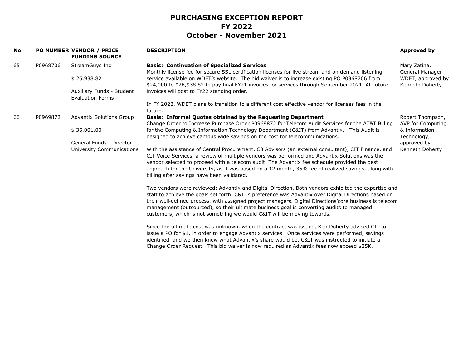| No |          | <b>PO NUMBER VENDOR / PRICE</b><br><b>FUNDING SOURCE</b> | <b>DESCRIPTION</b>                                                                                                                                                                                                                                                                                                                                                                                                                                                                             | Approved by                           |                                                                                                                                                                          |                              |
|----|----------|----------------------------------------------------------|------------------------------------------------------------------------------------------------------------------------------------------------------------------------------------------------------------------------------------------------------------------------------------------------------------------------------------------------------------------------------------------------------------------------------------------------------------------------------------------------|---------------------------------------|--------------------------------------------------------------------------------------------------------------------------------------------------------------------------|------------------------------|
| 65 | P0968706 | StreamGuys Inc                                           | <b>Basis: Continuation of Specialized Services</b><br>Monthly license fee for secure SSL certification licenses for live stream and on demand listening                                                                                                                                                                                                                                                                                                                                        | Mary Zatina,<br>General Manager -     |                                                                                                                                                                          |                              |
|    |          | \$26,938.82                                              | service available on WDET's website. The bid waiver is to increase existing PO P0968706 from<br>\$24,000 to \$26,938.82 to pay final FY21 invoices for services through September 2021. All future                                                                                                                                                                                                                                                                                             | WDET, approved by<br>Kenneth Doherty  |                                                                                                                                                                          |                              |
|    |          | Auxiliary Funds - Student<br><b>Evaluation Forms</b>     | invoices will post to FY22 standing order.                                                                                                                                                                                                                                                                                                                                                                                                                                                     |                                       |                                                                                                                                                                          |                              |
|    |          |                                                          | In FY 2022, WDET plans to transition to a different cost effective vendor for licenses fees in the<br>future.                                                                                                                                                                                                                                                                                                                                                                                  |                                       |                                                                                                                                                                          |                              |
| 66 | P0969872 | <b>Advantix Solutions Group</b>                          | <b>Basis: Informal Quotes obtained by the Requesting Department</b><br>Change Order to Increase Purchase Order P0969872 for Telecom Audit Services for the AT&T Billing                                                                                                                                                                                                                                                                                                                        | Robert Thompson,<br>AVP for Computing |                                                                                                                                                                          |                              |
|    |          |                                                          | \$35,001.00                                                                                                                                                                                                                                                                                                                                                                                                                                                                                    |                                       | for the Computing & Information Technology Department (C&IT) from Advantix. This Audit is<br>designed to achieve campus wide savings on the cost for telecommunications. | & Information<br>Technology, |
|    |          | General Funds - Director                                 |                                                                                                                                                                                                                                                                                                                                                                                                                                                                                                | approved by                           |                                                                                                                                                                          |                              |
|    |          | University Communications                                | With the assistance of Central Procurement, C3 Advisors (an external consultant), CIT Finance, and<br>CIT Voice Services, a review of multiple vendors was performed and Advantix Solutions was the<br>vendor selected to proceed with a telecom audit. The Advantix fee schedule provided the best<br>approach for the University, as it was based on a 12 month, 35% fee of realized savings, along with<br>billing after savings have been validated.                                       | Kenneth Doherty                       |                                                                                                                                                                          |                              |
|    |          |                                                          | Two vendors were reviewed: Advantix and Digital Direction. Both vendors exhibited the expertise and<br>staff to achieve the goals set forth. C&IT's preference was Advantix over Digital Directions based on<br>their well-defined process, with assigned project managers. Digital Directions'core business is telecom<br>management (outsourced), so their ultimate business goal is converting audits to managed<br>customers, which is not something we would C&IT will be moving towards. |                                       |                                                                                                                                                                          |                              |
|    |          |                                                          | Since the ultimate cost was unknown, when the contract was issued, Ken Doherty advised CIT to<br>issue a PO for \$1, in order to engage Advantix services. Once services were performed, savings<br>identified, and we then knew what Advantix's share would be, C&IT was instructed to initiate a<br>Change Order Request. This bid waiver is now required as Advantix fees now exceed \$25K.                                                                                                 |                                       |                                                                                                                                                                          |                              |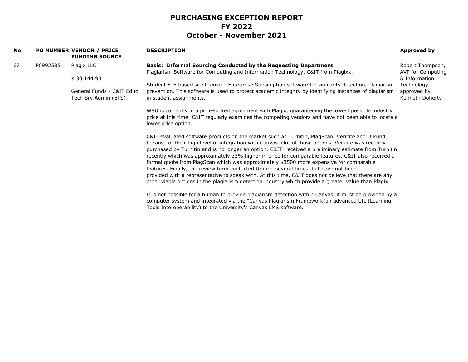| <b>No</b> |          | PO NUMBER VENDOR / PRICE<br><b>FUNDING SOURCE</b>                                                   | <b>DESCRIPTION</b>                                                                                                                                                                                                                                                                                                                                                                                                                                                                                                                                                                                                                                                                                                                                                                                                     | Approved by                           |
|-----------|----------|-----------------------------------------------------------------------------------------------------|------------------------------------------------------------------------------------------------------------------------------------------------------------------------------------------------------------------------------------------------------------------------------------------------------------------------------------------------------------------------------------------------------------------------------------------------------------------------------------------------------------------------------------------------------------------------------------------------------------------------------------------------------------------------------------------------------------------------------------------------------------------------------------------------------------------------|---------------------------------------|
| 67        | P0992585 | Plagix LLC                                                                                          | <b>Basis: Informal Sourcing Conducted by the Requesting Department</b><br>Plagiarism Software for Computing and Information Technology, C&IT from Plagixx.                                                                                                                                                                                                                                                                                                                                                                                                                                                                                                                                                                                                                                                             | Robert Thompson,<br>AVP for Computing |
|           |          | \$30,144.93                                                                                         | Student FTE based site license - Enterprise Subscription software for similarity detection, plagiarism                                                                                                                                                                                                                                                                                                                                                                                                                                                                                                                                                                                                                                                                                                                 | & Information<br>Technology,          |
|           |          | General Funds - C&IT Educ<br>Tech Srv Admin (ETS)<br>in student assignments.<br>lower price option. | prevention. This software is used to protect academic integrity by identifying instances of plagiarism                                                                                                                                                                                                                                                                                                                                                                                                                                                                                                                                                                                                                                                                                                                 | approved by<br>Kenneth Doherty        |
|           |          |                                                                                                     | WSU is currently in a price-locked agreement with Plagix, guaranteeing the lowest possible industry<br>price at this time. C&IT regularly examines the competing vendors and have not been able to locate a                                                                                                                                                                                                                                                                                                                                                                                                                                                                                                                                                                                                            |                                       |
|           |          |                                                                                                     | C&IT evaluated software products on the market such as Turnitin, PlagScan, Vericite and Urkund<br>because of their high level of integration with Canvas. Out of those options, Vericite was recently<br>purchased by Turnitin and is no longer an option. C&IT received a preliminary estimate from Turnitin<br>recently which was approximately 33% higher in price for comparable features. C&IT also received a<br>formal quote from PlagScan which was approximately \$3500 more expensive for comparable<br>features. Finally, the review term contacted Urkund several times, but have not been<br>provided with a representative to speak with. At this time, C&IT does not believe that there are any<br>other viable options in the plagiarism detection industry which provide a greater value than Plagix. |                                       |
|           |          |                                                                                                     | It is not possible for a human to provide plagiarism detection within Canvas, it must be provided by a<br>computer system and integrated via the "Canvas Plagiarism Framework"an advanced LTI (Learning<br>Tools Interoperability) to the University's Canvas LMS software.                                                                                                                                                                                                                                                                                                                                                                                                                                                                                                                                            |                                       |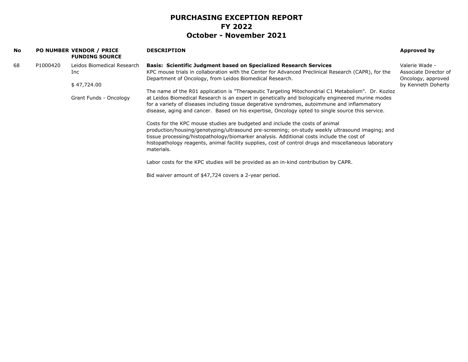| <b>No</b> |          | PO NUMBER VENDOR / PRICE<br><b>FUNDING SOURCE</b> | <b>DESCRIPTION</b>                                                                                                                                                                                                                                                                                                                                                                                           | Approved by                                                   |
|-----------|----------|---------------------------------------------------|--------------------------------------------------------------------------------------------------------------------------------------------------------------------------------------------------------------------------------------------------------------------------------------------------------------------------------------------------------------------------------------------------------------|---------------------------------------------------------------|
| 68        | P1000420 | Leidos Biomedical Research<br>Inc.                | <b>Basis: Scientific Judgment based on Specialized Research Services</b><br>KPC mouse trials in collaboration with the Center for Advanced Preclinical Research (CAPR), for the<br>Department of Oncology, from Leidos Biomedical Research.                                                                                                                                                                  | Valerie Wade -<br>Associate Director of<br>Oncology, approved |
|           |          | \$47,724.00                                       |                                                                                                                                                                                                                                                                                                                                                                                                              | by Kenneth Doherty                                            |
|           |          | Grant Funds - Oncology                            | The name of the R01 application is "Therapeutic Targeting Mitochondrial C1 Metabolism". Dr. Kozloz<br>at Leidos Biomedical Research is an expert in genetically and biologically engineered murine modes<br>for a variety of diseases including tissue degerative syndromes, autoimmune and inflammatory<br>disease, aging and cancer. Based on his expertise, Oncology opted to single source this service. |                                                               |
|           |          |                                                   | Costs for the KPC mouse studies are budgeted and include the costs of animal<br>production/housing/genotyping/ultrasound pre-screening; on-study weekly ultrasound imaging; and<br>tissue processing/histopathology/biomarker analysis. Additional costs include the cost of<br>histopathology reagents, animal facility supplies, cost of control drugs and miscellaneous laboratory<br>materials.          |                                                               |
|           |          |                                                   | Labor costs for the KPC studies will be provided as an in-kind contribution by CAPR.                                                                                                                                                                                                                                                                                                                         |                                                               |
|           |          |                                                   | Bid waiver amount of \$47,724 covers a 2-year period.                                                                                                                                                                                                                                                                                                                                                        |                                                               |